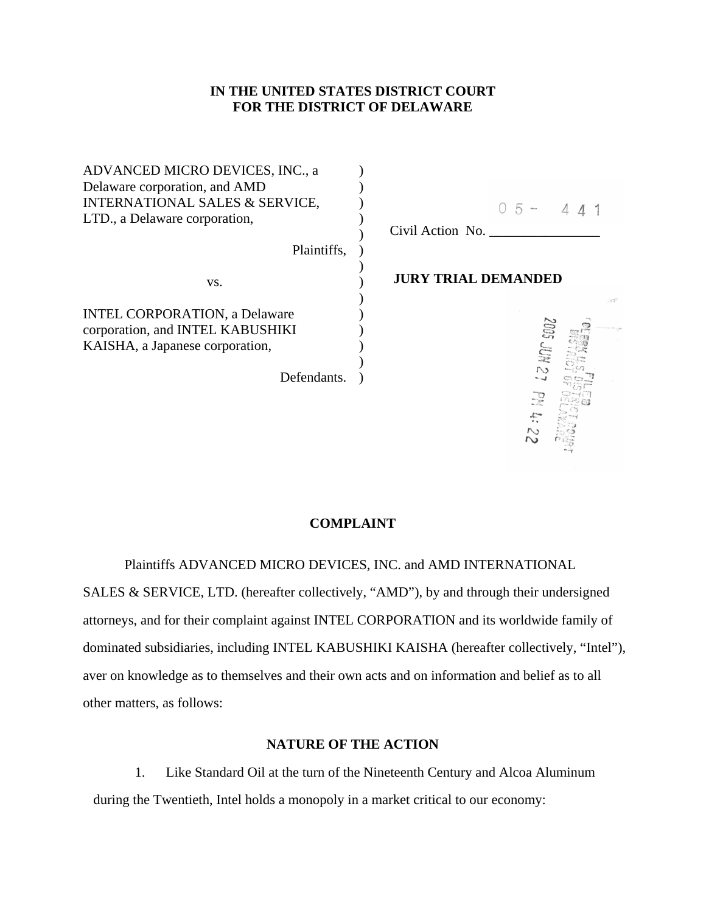# **IN THE UNITED STATES DISTRICT COURT FOR THE DISTRICT OF DELAWARE**

| ADVANCED MICRO DEVICES, INC., a<br>Delaware corporation, and AMD<br><b>INTERNATIONAL SALES &amp; SERVICE,</b><br>LTD., a Delaware corporation, | $05 - 4$<br>Civil Action No. |
|------------------------------------------------------------------------------------------------------------------------------------------------|------------------------------|
| Plaintiffs,                                                                                                                                    |                              |
| VS.                                                                                                                                            | <b>JURY TRIAL DEMANDED</b>   |
| <b>INTEL CORPORATION, a Delaware</b><br>corporation, and INTEL KABUSHIKI<br>KAISHA, a Japanese corporation,<br>Defendants.                     | 5007<br><b>Uit</b>           |

## **COMPLAINT**

Plaintiffs ADVANCED MICRO DEVICES, INC. and AMD INTERNATIONAL

SALES & SERVICE, LTD. (hereafter collectively, "AMD"), by and through their undersigned attorneys, and for their complaint against INTEL CORPORATION and its worldwide family of dominated subsidiaries, including INTEL KABUSHIKI KAISHA (hereafter collectively, "Intel"), aver on knowledge as to themselves and their own acts and on information and belief as to all other matters, as follows:

# **NATURE OF THE ACTION**

1. Like Standard Oil at the turn of the Nineteenth Century and Alcoa Aluminum during the Twentieth, Intel holds a monopoly in a market critical to our economy: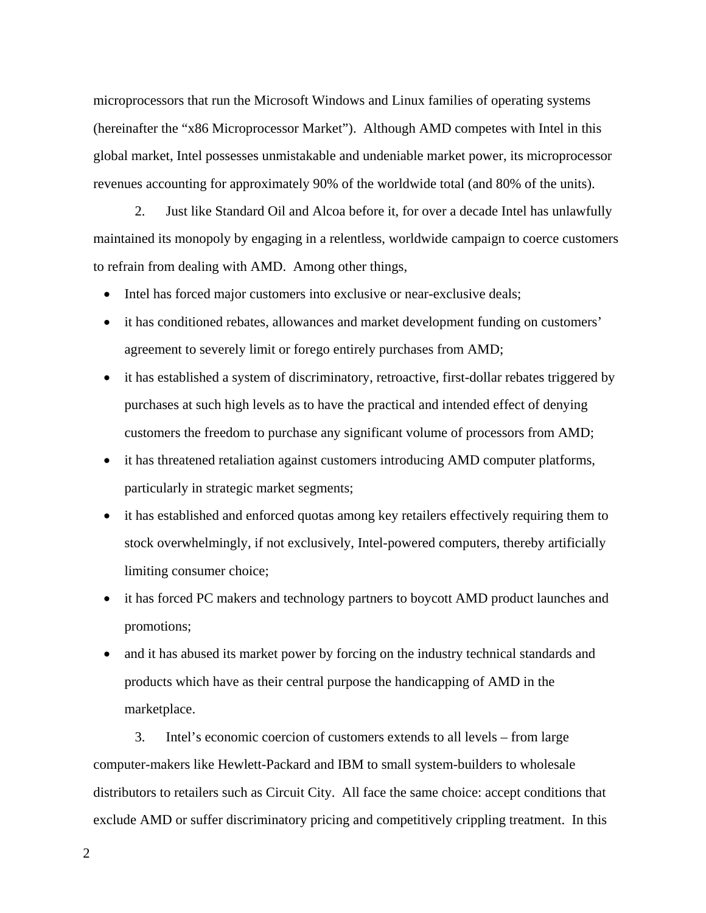microprocessors that run the Microsoft Windows and Linux families of operating systems (hereinafter the "x86 Microprocessor Market"). Although AMD competes with Intel in this global market, Intel possesses unmistakable and undeniable market power, its microprocessor revenues accounting for approximately 90% of the worldwide total (and 80% of the units).

2. Just like Standard Oil and Alcoa before it, for over a decade Intel has unlawfully maintained its monopoly by engaging in a relentless, worldwide campaign to coerce customers to refrain from dealing with AMD. Among other things,

- Intel has forced major customers into exclusive or near-exclusive deals;
- it has conditioned rebates, allowances and market development funding on customers' agreement to severely limit or forego entirely purchases from AMD;
- it has established a system of discriminatory, retroactive, first-dollar rebates triggered by purchases at such high levels as to have the practical and intended effect of denying customers the freedom to purchase any significant volume of processors from AMD;
- it has threatened retaliation against customers introducing AMD computer platforms, particularly in strategic market segments;
- it has established and enforced quotas among key retailers effectively requiring them to stock overwhelmingly, if not exclusively, Intel-powered computers, thereby artificially limiting consumer choice;
- it has forced PC makers and technology partners to boycott AMD product launches and promotions;
- and it has abused its market power by forcing on the industry technical standards and products which have as their central purpose the handicapping of AMD in the marketplace.

3. Intel's economic coercion of customers extends to all levels – from large computer-makers like Hewlett-Packard and IBM to small system-builders to wholesale distributors to retailers such as Circuit City. All face the same choice: accept conditions that exclude AMD or suffer discriminatory pricing and competitively crippling treatment. In this

2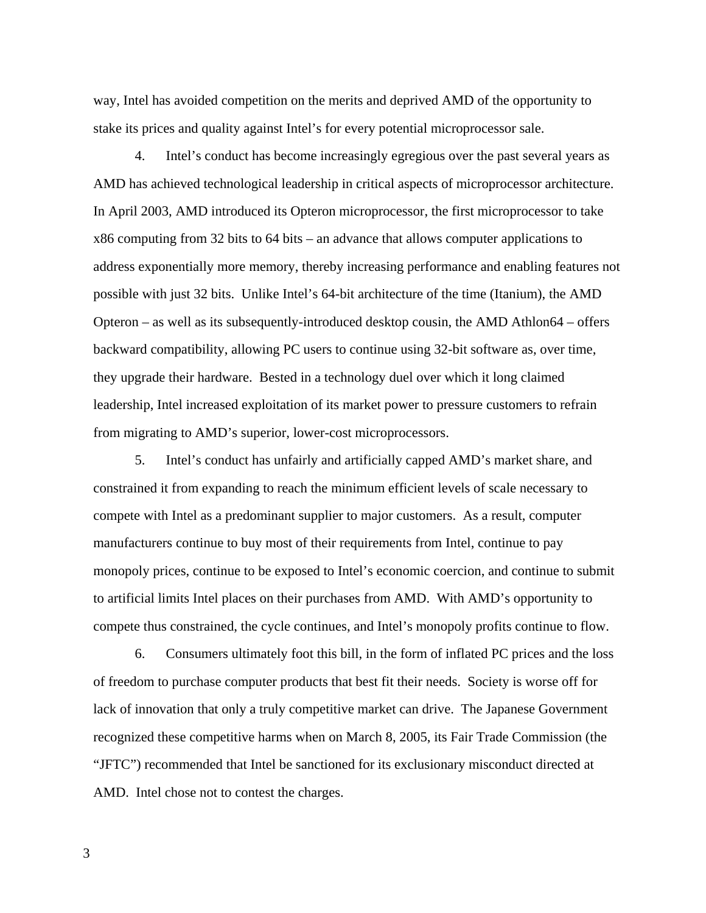way, Intel has avoided competition on the merits and deprived AMD of the opportunity to stake its prices and quality against Intel's for every potential microprocessor sale.

4. Intel's conduct has become increasingly egregious over the past several years as AMD has achieved technological leadership in critical aspects of microprocessor architecture. In April 2003, AMD introduced its Opteron microprocessor, the first microprocessor to take x86 computing from 32 bits to 64 bits – an advance that allows computer applications to address exponentially more memory, thereby increasing performance and enabling features not possible with just 32 bits. Unlike Intel's 64-bit architecture of the time (Itanium), the AMD Opteron – as well as its subsequently-introduced desktop cousin, the AMD Athlon64 – offers backward compatibility, allowing PC users to continue using 32-bit software as, over time, they upgrade their hardware. Bested in a technology duel over which it long claimed leadership, Intel increased exploitation of its market power to pressure customers to refrain from migrating to AMD's superior, lower-cost microprocessors.

5. Intel's conduct has unfairly and artificially capped AMD's market share, and constrained it from expanding to reach the minimum efficient levels of scale necessary to compete with Intel as a predominant supplier to major customers. As a result, computer manufacturers continue to buy most of their requirements from Intel, continue to pay monopoly prices, continue to be exposed to Intel's economic coercion, and continue to submit to artificial limits Intel places on their purchases from AMD. With AMD's opportunity to compete thus constrained, the cycle continues, and Intel's monopoly profits continue to flow.

6. Consumers ultimately foot this bill, in the form of inflated PC prices and the loss of freedom to purchase computer products that best fit their needs. Society is worse off for lack of innovation that only a truly competitive market can drive. The Japanese Government recognized these competitive harms when on March 8, 2005, its Fair Trade Commission (the "JFTC") recommended that Intel be sanctioned for its exclusionary misconduct directed at AMD. Intel chose not to contest the charges.

3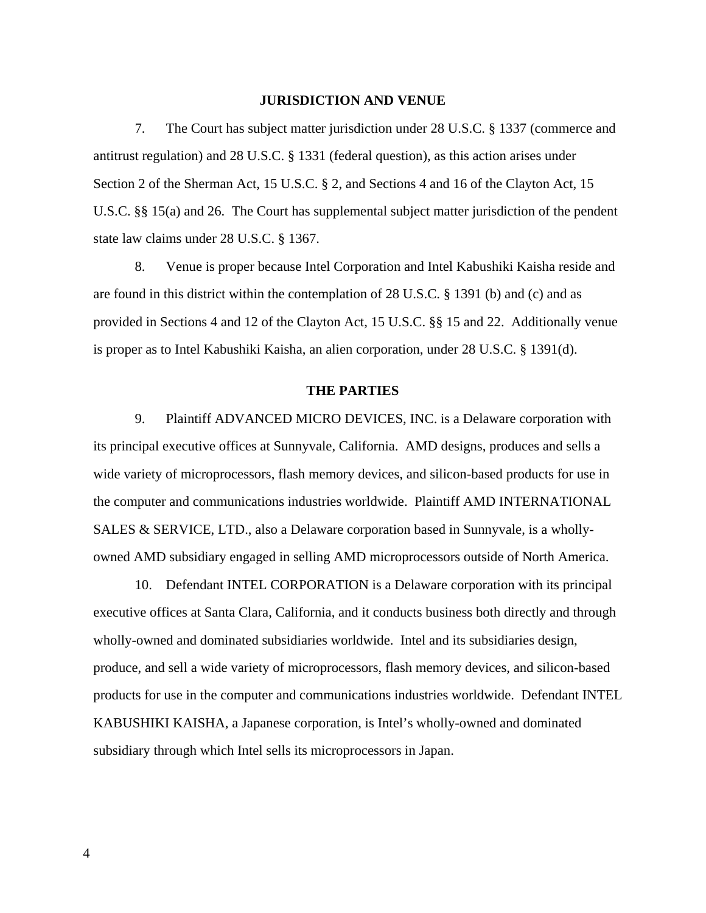#### **JURISDICTION AND VENUE**

7. The Court has subject matter jurisdiction under 28 U.S.C. § 1337 (commerce and antitrust regulation) and 28 U.S.C. § 1331 (federal question), as this action arises under Section 2 of the Sherman Act, 15 U.S.C. § 2, and Sections 4 and 16 of the Clayton Act, 15 U.S.C. §§ 15(a) and 26. The Court has supplemental subject matter jurisdiction of the pendent state law claims under 28 U.S.C. § 1367.

8. Venue is proper because Intel Corporation and Intel Kabushiki Kaisha reside and are found in this district within the contemplation of 28 U.S.C. § 1391 (b) and (c) and as provided in Sections 4 and 12 of the Clayton Act, 15 U.S.C. §§ 15 and 22. Additionally venue is proper as to Intel Kabushiki Kaisha, an alien corporation, under 28 U.S.C. § 1391(d).

#### **THE PARTIES**

9. Plaintiff ADVANCED MICRO DEVICES, INC. is a Delaware corporation with its principal executive offices at Sunnyvale, California. AMD designs, produces and sells a wide variety of microprocessors, flash memory devices, and silicon-based products for use in the computer and communications industries worldwide. Plaintiff AMD INTERNATIONAL SALES & SERVICE, LTD., also a Delaware corporation based in Sunnyvale, is a whollyowned AMD subsidiary engaged in selling AMD microprocessors outside of North America.

10. Defendant INTEL CORPORATION is a Delaware corporation with its principal executive offices at Santa Clara, California, and it conducts business both directly and through wholly-owned and dominated subsidiaries worldwide. Intel and its subsidiaries design, produce, and sell a wide variety of microprocessors, flash memory devices, and silicon-based products for use in the computer and communications industries worldwide. Defendant INTEL KABUSHIKI KAISHA, a Japanese corporation, is Intel's wholly-owned and dominated subsidiary through which Intel sells its microprocessors in Japan.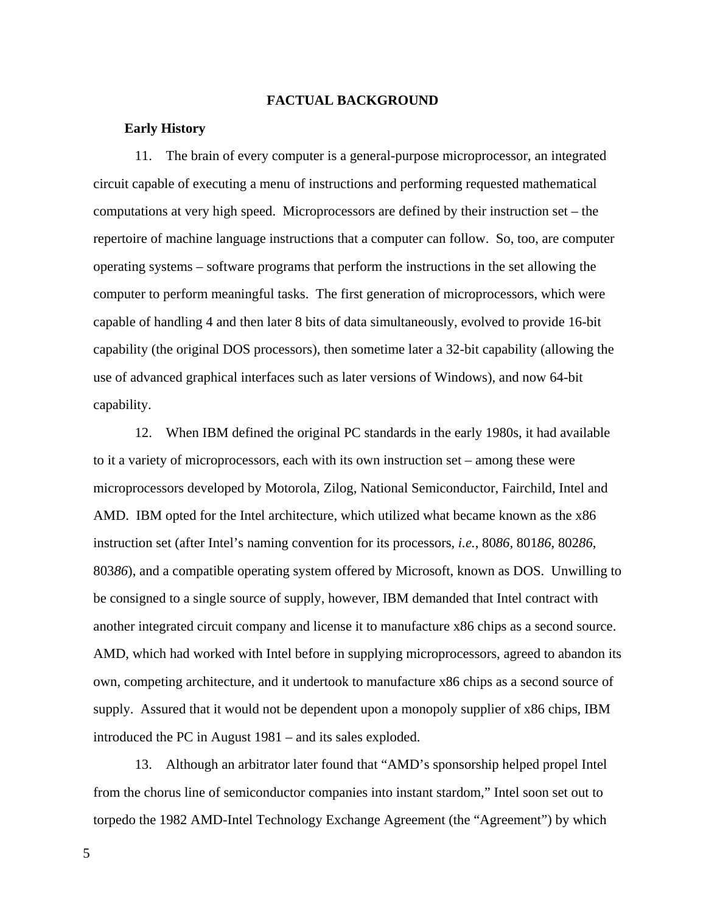### **FACTUAL BACKGROUND**

#### **Early History**

11. The brain of every computer is a general-purpose microprocessor, an integrated circuit capable of executing a menu of instructions and performing requested mathematical computations at very high speed. Microprocessors are defined by their instruction set – the repertoire of machine language instructions that a computer can follow. So, too, are computer operating systems – software programs that perform the instructions in the set allowing the computer to perform meaningful tasks. The first generation of microprocessors, which were capable of handling 4 and then later 8 bits of data simultaneously, evolved to provide 16-bit capability (the original DOS processors), then sometime later a 32-bit capability (allowing the use of advanced graphical interfaces such as later versions of Windows), and now 64-bit capability.

12. When IBM defined the original PC standards in the early 1980s, it had available to it a variety of microprocessors, each with its own instruction set – among these were microprocessors developed by Motorola, Zilog, National Semiconductor, Fairchild, Intel and AMD. IBM opted for the Intel architecture, which utilized what became known as the x86 instruction set (after Intel's naming convention for its processors, *i.e.*, 80*86,* 801*86*, 802*86*, 803*86*), and a compatible operating system offered by Microsoft, known as DOS. Unwilling to be consigned to a single source of supply, however, IBM demanded that Intel contract with another integrated circuit company and license it to manufacture x86 chips as a second source. AMD, which had worked with Intel before in supplying microprocessors, agreed to abandon its own, competing architecture, and it undertook to manufacture x86 chips as a second source of supply. Assured that it would not be dependent upon a monopoly supplier of x86 chips, IBM introduced the PC in August 1981 – and its sales exploded.

13. Although an arbitrator later found that "AMD's sponsorship helped propel Intel from the chorus line of semiconductor companies into instant stardom," Intel soon set out to torpedo the 1982 AMD-Intel Technology Exchange Agreement (the "Agreement") by which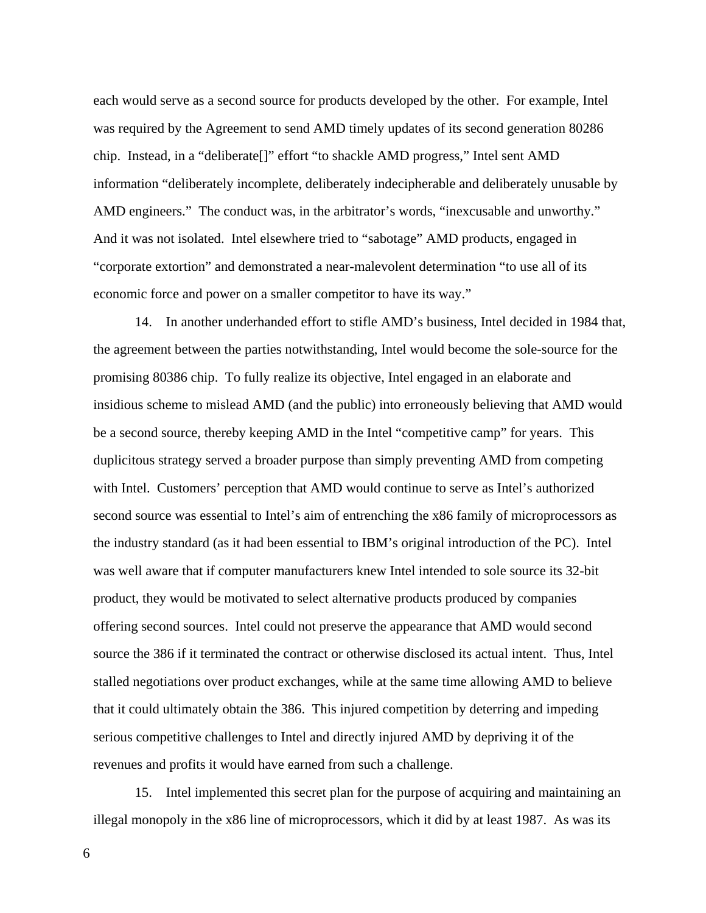each would serve as a second source for products developed by the other. For example, Intel was required by the Agreement to send AMD timely updates of its second generation 80286 chip. Instead, in a "deliberate[]" effort "to shackle AMD progress," Intel sent AMD information "deliberately incomplete, deliberately indecipherable and deliberately unusable by AMD engineers." The conduct was, in the arbitrator's words, "inexcusable and unworthy." And it was not isolated. Intel elsewhere tried to "sabotage" AMD products, engaged in "corporate extortion" and demonstrated a near-malevolent determination "to use all of its economic force and power on a smaller competitor to have its way."

14. In another underhanded effort to stifle AMD's business, Intel decided in 1984 that, the agreement between the parties notwithstanding, Intel would become the sole-source for the promising 80386 chip. To fully realize its objective, Intel engaged in an elaborate and insidious scheme to mislead AMD (and the public) into erroneously believing that AMD would be a second source, thereby keeping AMD in the Intel "competitive camp" for years. This duplicitous strategy served a broader purpose than simply preventing AMD from competing with Intel. Customers' perception that AMD would continue to serve as Intel's authorized second source was essential to Intel's aim of entrenching the x86 family of microprocessors as the industry standard (as it had been essential to IBM's original introduction of the PC). Intel was well aware that if computer manufacturers knew Intel intended to sole source its 32-bit product, they would be motivated to select alternative products produced by companies offering second sources. Intel could not preserve the appearance that AMD would second source the 386 if it terminated the contract or otherwise disclosed its actual intent. Thus, Intel stalled negotiations over product exchanges, while at the same time allowing AMD to believe that it could ultimately obtain the 386. This injured competition by deterring and impeding serious competitive challenges to Intel and directly injured AMD by depriving it of the revenues and profits it would have earned from such a challenge.

15. Intel implemented this secret plan for the purpose of acquiring and maintaining an illegal monopoly in the x86 line of microprocessors, which it did by at least 1987. As was its

6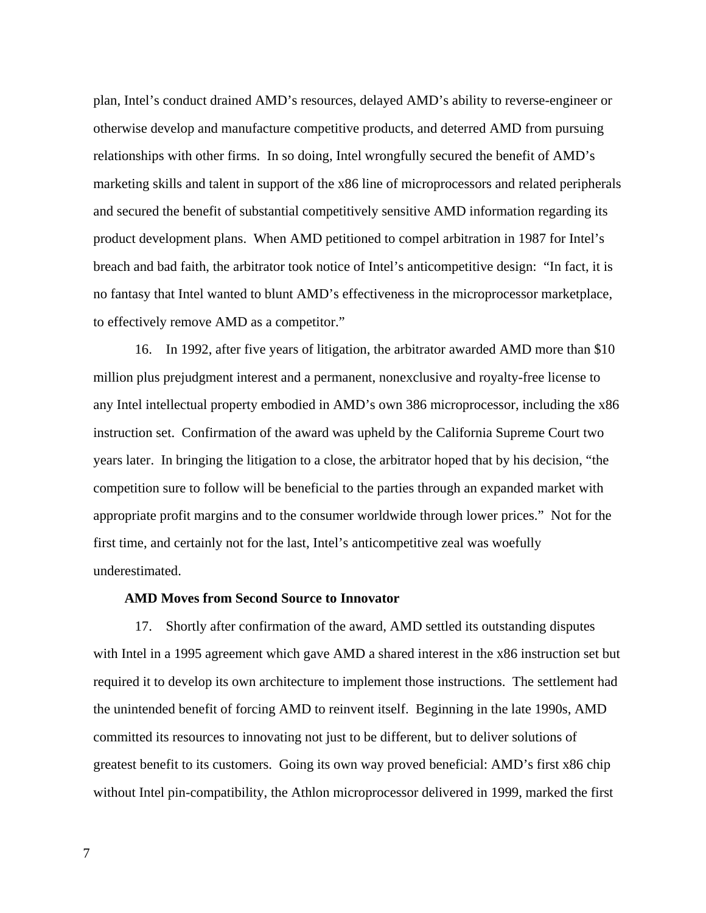plan, Intel's conduct drained AMD's resources, delayed AMD's ability to reverse-engineer or otherwise develop and manufacture competitive products, and deterred AMD from pursuing relationships with other firms. In so doing, Intel wrongfully secured the benefit of AMD's marketing skills and talent in support of the x86 line of microprocessors and related peripherals and secured the benefit of substantial competitively sensitive AMD information regarding its product development plans. When AMD petitioned to compel arbitration in 1987 for Intel's breach and bad faith, the arbitrator took notice of Intel's anticompetitive design: "In fact, it is no fantasy that Intel wanted to blunt AMD's effectiveness in the microprocessor marketplace, to effectively remove AMD as a competitor."

16. In 1992, after five years of litigation, the arbitrator awarded AMD more than \$10 million plus prejudgment interest and a permanent, nonexclusive and royalty-free license to any Intel intellectual property embodied in AMD's own 386 microprocessor, including the x86 instruction set. Confirmation of the award was upheld by the California Supreme Court two years later. In bringing the litigation to a close, the arbitrator hoped that by his decision, "the competition sure to follow will be beneficial to the parties through an expanded market with appropriate profit margins and to the consumer worldwide through lower prices." Not for the first time, and certainly not for the last, Intel's anticompetitive zeal was woefully underestimated.

## **AMD Moves from Second Source to Innovator**

17. Shortly after confirmation of the award, AMD settled its outstanding disputes with Intel in a 1995 agreement which gave AMD a shared interest in the x86 instruction set but required it to develop its own architecture to implement those instructions. The settlement had the unintended benefit of forcing AMD to reinvent itself. Beginning in the late 1990s, AMD committed its resources to innovating not just to be different, but to deliver solutions of greatest benefit to its customers. Going its own way proved beneficial: AMD's first x86 chip without Intel pin-compatibility, the Athlon microprocessor delivered in 1999, marked the first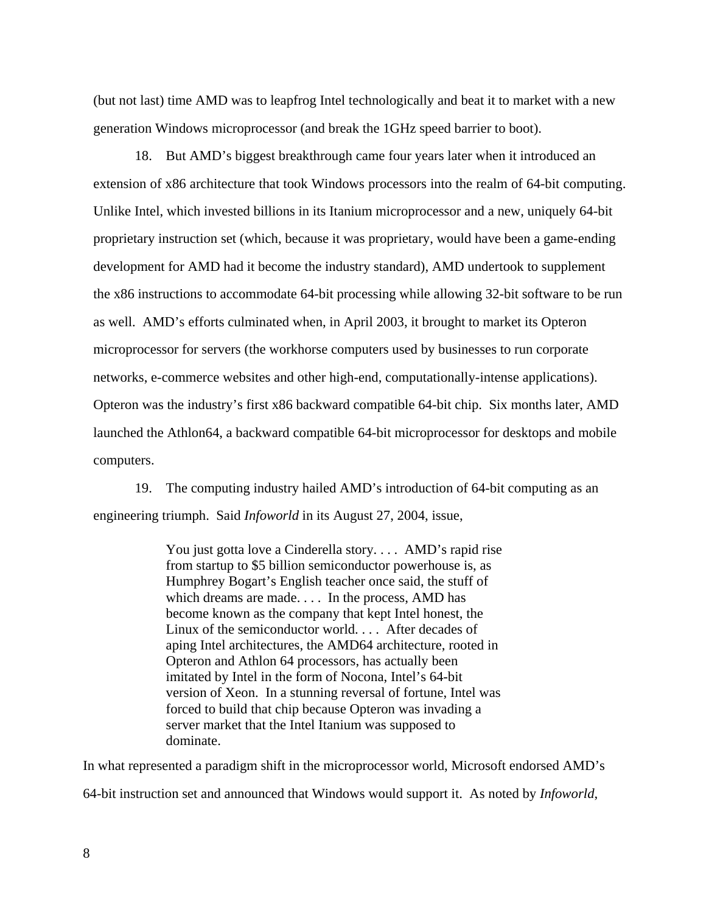(but not last) time AMD was to leapfrog Intel technologically and beat it to market with a new generation Windows microprocessor (and break the 1GHz speed barrier to boot).

18. But AMD's biggest breakthrough came four years later when it introduced an extension of x86 architecture that took Windows processors into the realm of 64-bit computing. Unlike Intel, which invested billions in its Itanium microprocessor and a new, uniquely 64-bit proprietary instruction set (which, because it was proprietary, would have been a game-ending development for AMD had it become the industry standard), AMD undertook to supplement the x86 instructions to accommodate 64-bit processing while allowing 32-bit software to be run as well. AMD's efforts culminated when, in April 2003, it brought to market its Opteron microprocessor for servers (the workhorse computers used by businesses to run corporate networks, e-commerce websites and other high-end, computationally-intense applications). Opteron was the industry's first x86 backward compatible 64-bit chip. Six months later, AMD launched the Athlon64, a backward compatible 64-bit microprocessor for desktops and mobile computers.

19. The computing industry hailed AMD's introduction of 64-bit computing as an engineering triumph. Said *Infoworld* in its August 27, 2004, issue,

> You just gotta love a Cinderella story.... AMD's rapid rise from startup to \$5 billion semiconductor powerhouse is, as Humphrey Bogart's English teacher once said, the stuff of which dreams are made. . . . In the process, AMD has become known as the company that kept Intel honest, the Linux of the semiconductor world. . . . After decades of aping Intel architectures, the AMD64 architecture, rooted in Opteron and Athlon 64 processors, has actually been imitated by Intel in the form of Nocona, Intel's 64-bit version of Xeon. In a stunning reversal of fortune, Intel was forced to build that chip because Opteron was invading a server market that the Intel Itanium was supposed to dominate.

In what represented a paradigm shift in the microprocessor world, Microsoft endorsed AMD's 64-bit instruction set and announced that Windows would support it. As noted by *Infoworld*,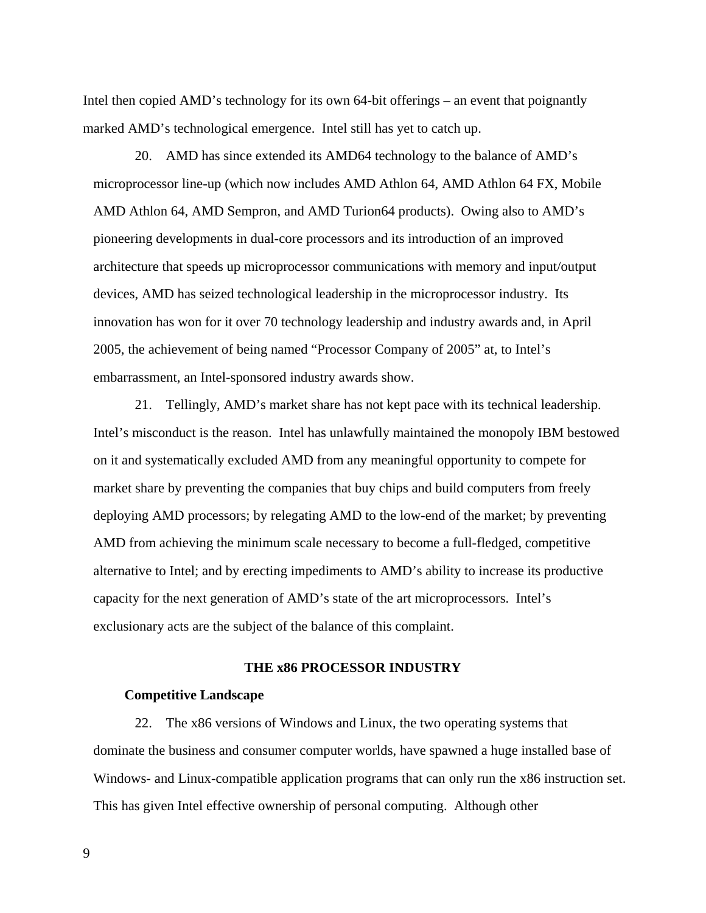Intel then copied AMD's technology for its own 64-bit offerings – an event that poignantly marked AMD's technological emergence. Intel still has yet to catch up.

20. AMD has since extended its AMD64 technology to the balance of AMD's microprocessor line-up (which now includes AMD Athlon 64, AMD Athlon 64 FX, Mobile AMD Athlon 64, AMD Sempron, and AMD Turion64 products). Owing also to AMD's pioneering developments in dual-core processors and its introduction of an improved architecture that speeds up microprocessor communications with memory and input/output devices, AMD has seized technological leadership in the microprocessor industry. Its innovation has won for it over 70 technology leadership and industry awards and, in April 2005, the achievement of being named "Processor Company of 2005" at, to Intel's embarrassment, an Intel-sponsored industry awards show.

21. Tellingly, AMD's market share has not kept pace with its technical leadership. Intel's misconduct is the reason. Intel has unlawfully maintained the monopoly IBM bestowed on it and systematically excluded AMD from any meaningful opportunity to compete for market share by preventing the companies that buy chips and build computers from freely deploying AMD processors; by relegating AMD to the low-end of the market; by preventing AMD from achieving the minimum scale necessary to become a full-fledged, competitive alternative to Intel; and by erecting impediments to AMD's ability to increase its productive capacity for the next generation of AMD's state of the art microprocessors. Intel's exclusionary acts are the subject of the balance of this complaint.

## **THE x86 PROCESSOR INDUSTRY**

#### **Competitive Landscape**

22. The x86 versions of Windows and Linux, the two operating systems that dominate the business and consumer computer worlds, have spawned a huge installed base of Windows- and Linux-compatible application programs that can only run the x86 instruction set. This has given Intel effective ownership of personal computing. Although other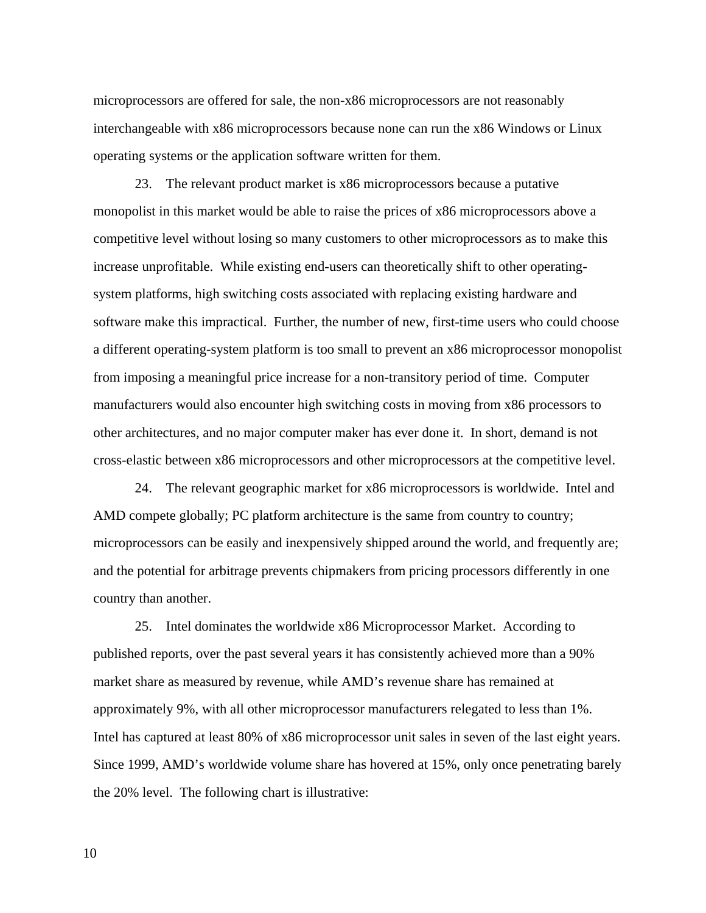microprocessors are offered for sale, the non-x86 microprocessors are not reasonably interchangeable with x86 microprocessors because none can run the x86 Windows or Linux operating systems or the application software written for them.

23. The relevant product market is x86 microprocessors because a putative monopolist in this market would be able to raise the prices of x86 microprocessors above a competitive level without losing so many customers to other microprocessors as to make this increase unprofitable. While existing end-users can theoretically shift to other operatingsystem platforms, high switching costs associated with replacing existing hardware and software make this impractical. Further, the number of new, first-time users who could choose a different operating-system platform is too small to prevent an x86 microprocessor monopolist from imposing a meaningful price increase for a non-transitory period of time. Computer manufacturers would also encounter high switching costs in moving from x86 processors to other architectures, and no major computer maker has ever done it. In short, demand is not cross-elastic between x86 microprocessors and other microprocessors at the competitive level.

24. The relevant geographic market for x86 microprocessors is worldwide. Intel and AMD compete globally; PC platform architecture is the same from country to country; microprocessors can be easily and inexpensively shipped around the world, and frequently are; and the potential for arbitrage prevents chipmakers from pricing processors differently in one country than another.

25. Intel dominates the worldwide x86 Microprocessor Market. According to published reports, over the past several years it has consistently achieved more than a 90% market share as measured by revenue, while AMD's revenue share has remained at approximately 9%, with all other microprocessor manufacturers relegated to less than 1%. Intel has captured at least 80% of x86 microprocessor unit sales in seven of the last eight years. Since 1999, AMD's worldwide volume share has hovered at 15%, only once penetrating barely the 20% level. The following chart is illustrative: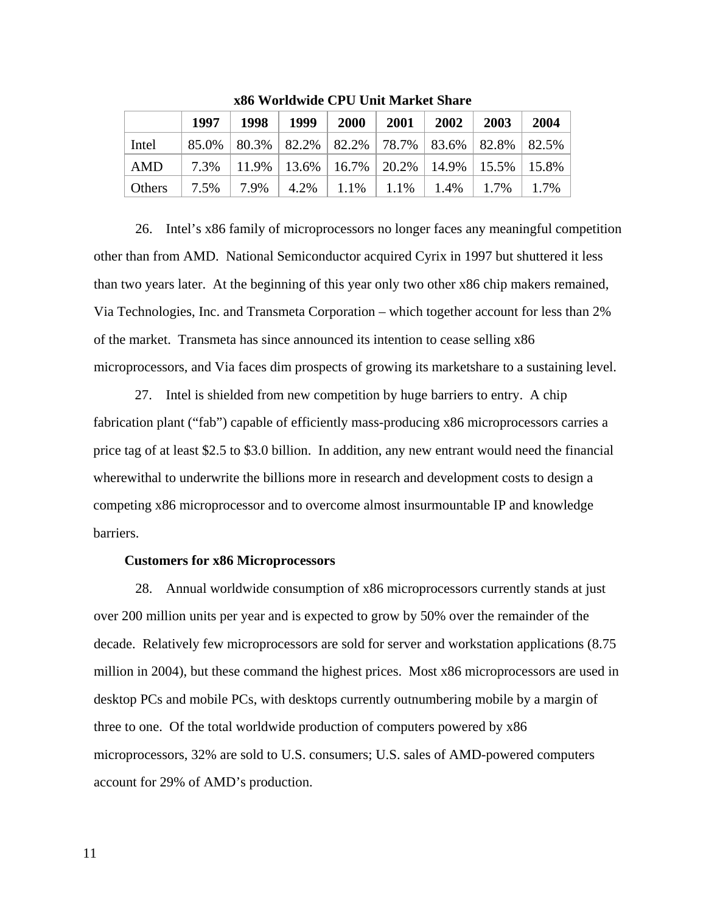|               | 1997 | 1998                                                                                  | 1999 | <b>2000</b> | 2001 | 2002 | 2003 | 2004 |
|---------------|------|---------------------------------------------------------------------------------------|------|-------------|------|------|------|------|
| Intel         |      | $85.0\%$   $80.3\%$   $82.2\%$   $82.2\%$   $78.7\%$   $83.6\%$   $82.8\%$   $82.5\%$ |      |             |      |      |      |      |
| AMD           | 7.3% | 11.9%   13.6%   16.7%   20.2%   14.9%   15.5%   15.8%                                 |      |             |      |      |      |      |
| <b>Others</b> | 7.5% | 7.9%                                                                                  | 4.2% | 1.1%        | 1.1% | 1.4% | 1.7% | 1.7% |

**x86 Worldwide CPU Unit Market Share** 

26. Intel's x86 family of microprocessors no longer faces any meaningful competition other than from AMD. National Semiconductor acquired Cyrix in 1997 but shuttered it less than two years later. At the beginning of this year only two other x86 chip makers remained, Via Technologies, Inc. and Transmeta Corporation – which together account for less than 2% of the market. Transmeta has since announced its intention to cease selling x86 microprocessors, and Via faces dim prospects of growing its marketshare to a sustaining level.

27. Intel is shielded from new competition by huge barriers to entry. A chip fabrication plant ("fab") capable of efficiently mass-producing x86 microprocessors carries a price tag of at least \$2.5 to \$3.0 billion. In addition, any new entrant would need the financial wherewithal to underwrite the billions more in research and development costs to design a competing x86 microprocessor and to overcome almost insurmountable IP and knowledge barriers.

#### **Customers for x86 Microprocessors**

28. Annual worldwide consumption of x86 microprocessors currently stands at just over 200 million units per year and is expected to grow by 50% over the remainder of the decade. Relatively few microprocessors are sold for server and workstation applications (8.75 million in 2004), but these command the highest prices. Most x86 microprocessors are used in desktop PCs and mobile PCs, with desktops currently outnumbering mobile by a margin of three to one. Of the total worldwide production of computers powered by x86 microprocessors, 32% are sold to U.S. consumers; U.S. sales of AMD-powered computers account for 29% of AMD's production.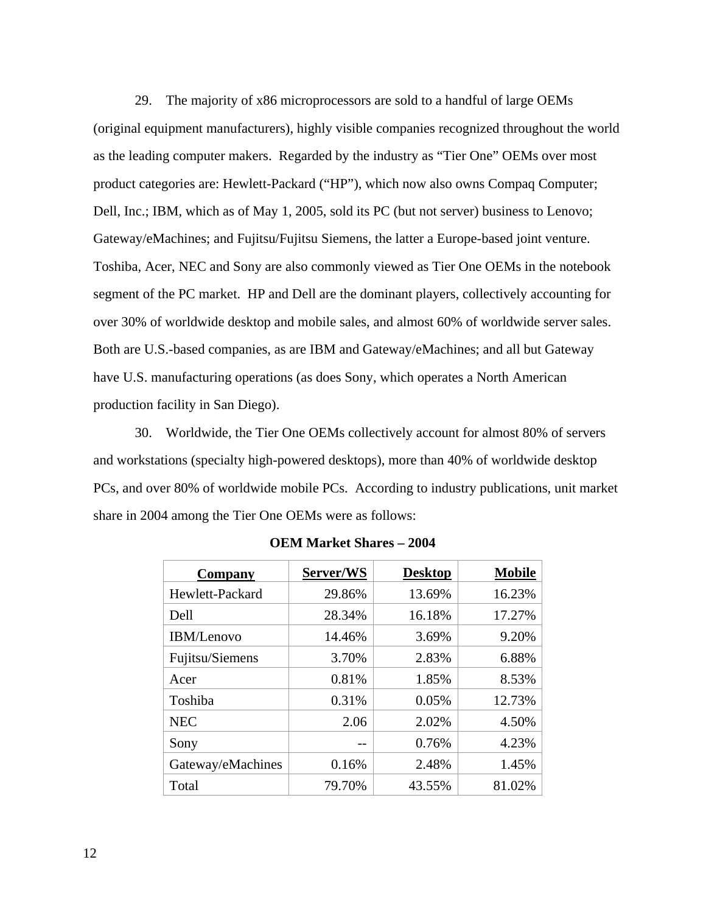29. The majority of x86 microprocessors are sold to a handful of large OEMs (original equipment manufacturers), highly visible companies recognized throughout the world as the leading computer makers. Regarded by the industry as "Tier One" OEMs over most product categories are: Hewlett-Packard ("HP"), which now also owns Compaq Computer; Dell, Inc.; IBM, which as of May 1, 2005, sold its PC (but not server) business to Lenovo; Gateway/eMachines; and Fujitsu/Fujitsu Siemens, the latter a Europe-based joint venture. Toshiba, Acer, NEC and Sony are also commonly viewed as Tier One OEMs in the notebook segment of the PC market. HP and Dell are the dominant players, collectively accounting for over 30% of worldwide desktop and mobile sales, and almost 60% of worldwide server sales. Both are U.S.-based companies, as are IBM and Gateway/eMachines; and all but Gateway have U.S. manufacturing operations (as does Sony, which operates a North American production facility in San Diego).

30. Worldwide, the Tier One OEMs collectively account for almost 80% of servers and workstations (specialty high-powered desktops), more than 40% of worldwide desktop PCs, and over 80% of worldwide mobile PCs. According to industry publications, unit market share in 2004 among the Tier One OEMs were as follows:

| Company           | Server/WS | <b>Desktop</b> | <b>Mobile</b> |
|-------------------|-----------|----------------|---------------|
| Hewlett-Packard   | 29.86%    | 13.69%         | 16.23%        |
| Dell              | 28.34%    | 16.18%         | 17.27%        |
| <b>IBM/Lenovo</b> | 14.46%    | 3.69%          | 9.20%         |
| Fujitsu/Siemens   | 3.70%     | 2.83%          | 6.88%         |
| Acer              | 0.81%     | 1.85%          | 8.53%         |
| Toshiba           | 0.31%     | 0.05%          | 12.73%        |
| <b>NEC</b>        | 2.06      | 2.02%          | 4.50%         |
| Sony              |           | 0.76%          | 4.23%         |
| Gateway/eMachines | 0.16%     | 2.48%          | 1.45%         |
| Total             | 79.70%    | 43.55%         | 81.02%        |

**OEM Market Shares – 2004**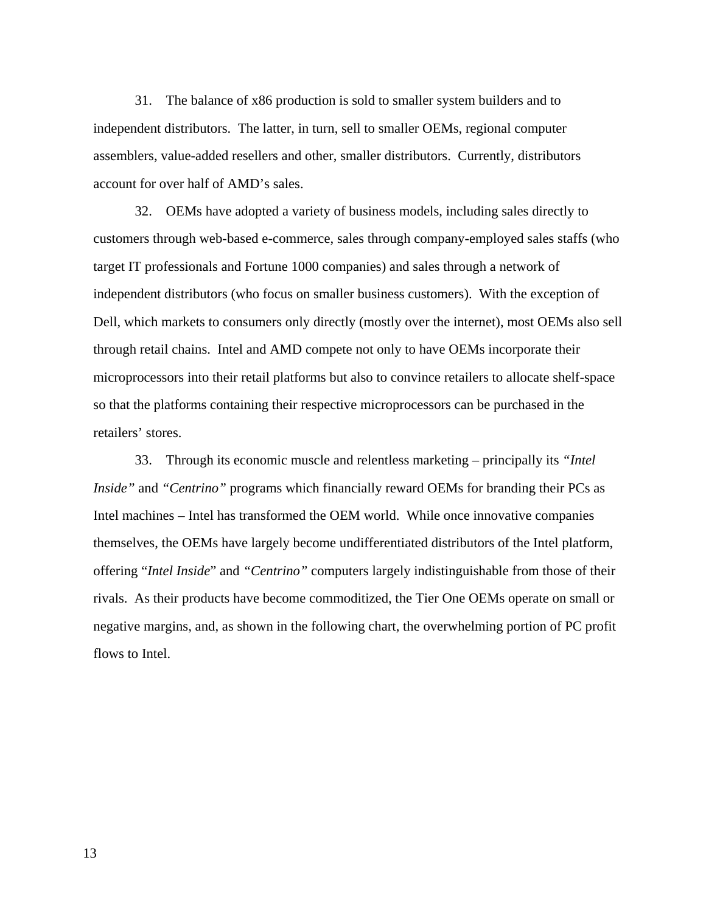31. The balance of x86 production is sold to smaller system builders and to independent distributors. The latter, in turn, sell to smaller OEMs, regional computer assemblers, value-added resellers and other, smaller distributors. Currently, distributors account for over half of AMD's sales.

32. OEMs have adopted a variety of business models, including sales directly to customers through web-based e-commerce, sales through company-employed sales staffs (who target IT professionals and Fortune 1000 companies) and sales through a network of independent distributors (who focus on smaller business customers). With the exception of Dell, which markets to consumers only directly (mostly over the internet), most OEMs also sell through retail chains. Intel and AMD compete not only to have OEMs incorporate their microprocessors into their retail platforms but also to convince retailers to allocate shelf-space so that the platforms containing their respective microprocessors can be purchased in the retailers' stores.

33. Through its economic muscle and relentless marketing – principally its *"Intel Inside"* and *"Centrino"* programs which financially reward OEMs for branding their PCs as Intel machines – Intel has transformed the OEM world. While once innovative companies themselves, the OEMs have largely become undifferentiated distributors of the Intel platform, offering "*Intel Inside*" and *"Centrino"* computers largely indistinguishable from those of their rivals. As their products have become commoditized, the Tier One OEMs operate on small or negative margins, and, as shown in the following chart, the overwhelming portion of PC profit flows to Intel.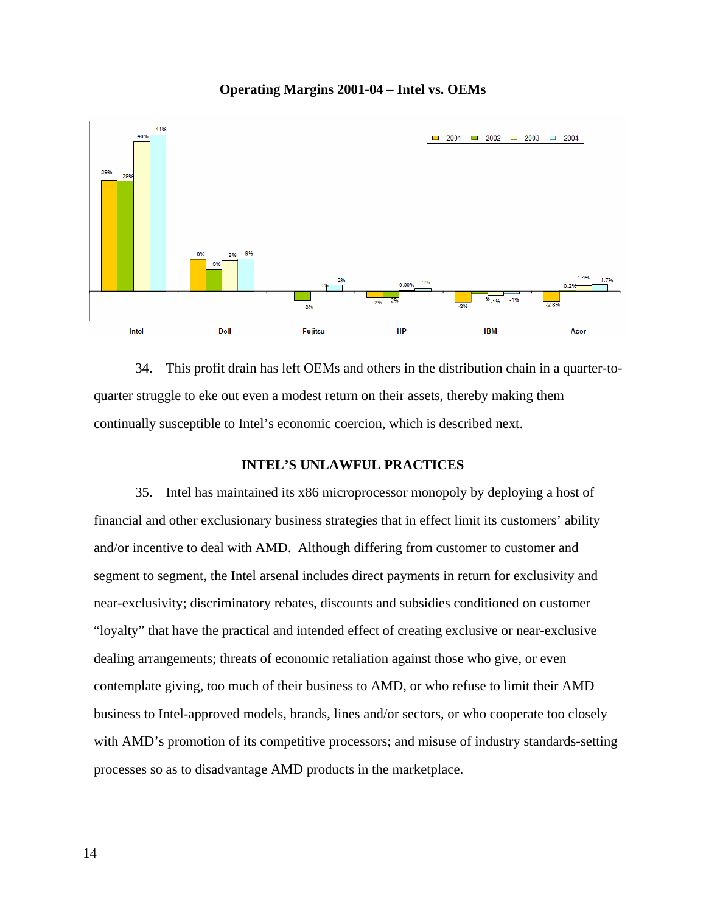

## **Operating Margins 2001-04 – Intel vs. OEMs**

34. This profit drain has left OEMs and others in the distribution chain in a quarter-toquarter struggle to eke out even a modest return on their assets, thereby making them continually susceptible to Intel's economic coercion, which is described next.

## **INTEL'S UNLAWFUL PRACTICES**

35. Intel has maintained its x86 microprocessor monopoly by deploying a host of financial and other exclusionary business strategies that in effect limit its customers' ability and/or incentive to deal with AMD. Although differing from customer to customer and segment to segment, the Intel arsenal includes direct payments in return for exclusivity and near-exclusivity; discriminatory rebates, discounts and subsidies conditioned on customer "loyalty" that have the practical and intended effect of creating exclusive or near-exclusive dealing arrangements; threats of economic retaliation against those who give, or even contemplate giving, too much of their business to AMD, or who refuse to limit their AMD business to Intel-approved models, brands, lines and/or sectors, or who cooperate too closely with AMD's promotion of its competitive processors; and misuse of industry standards-setting processes so as to disadvantage AMD products in the marketplace.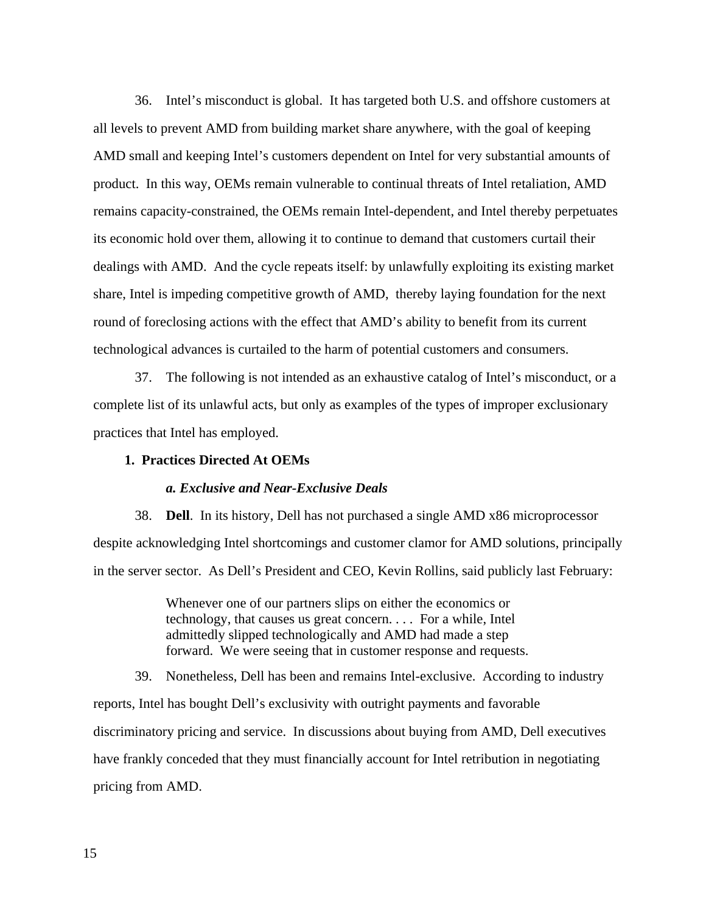36. Intel's misconduct is global. It has targeted both U.S. and offshore customers at all levels to prevent AMD from building market share anywhere, with the goal of keeping AMD small and keeping Intel's customers dependent on Intel for very substantial amounts of product. In this way, OEMs remain vulnerable to continual threats of Intel retaliation, AMD remains capacity-constrained, the OEMs remain Intel-dependent, and Intel thereby perpetuates its economic hold over them, allowing it to continue to demand that customers curtail their dealings with AMD. And the cycle repeats itself: by unlawfully exploiting its existing market share, Intel is impeding competitive growth of AMD, thereby laying foundation for the next round of foreclosing actions with the effect that AMD's ability to benefit from its current technological advances is curtailed to the harm of potential customers and consumers.

37. The following is not intended as an exhaustive catalog of Intel's misconduct, or a complete list of its unlawful acts, but only as examples of the types of improper exclusionary practices that Intel has employed.

## **1. Practices Directed At OEMs**

#### *a. Exclusive and Near-Exclusive Deals*

38. **Dell**. In its history, Dell has not purchased a single AMD x86 microprocessor despite acknowledging Intel shortcomings and customer clamor for AMD solutions, principally in the server sector. As Dell's President and CEO, Kevin Rollins, said publicly last February:

> Whenever one of our partners slips on either the economics or technology, that causes us great concern. . . . For a while, Intel admittedly slipped technologically and AMD had made a step forward. We were seeing that in customer response and requests.

39. Nonetheless, Dell has been and remains Intel-exclusive. According to industry reports, Intel has bought Dell's exclusivity with outright payments and favorable discriminatory pricing and service. In discussions about buying from AMD, Dell executives have frankly conceded that they must financially account for Intel retribution in negotiating pricing from AMD.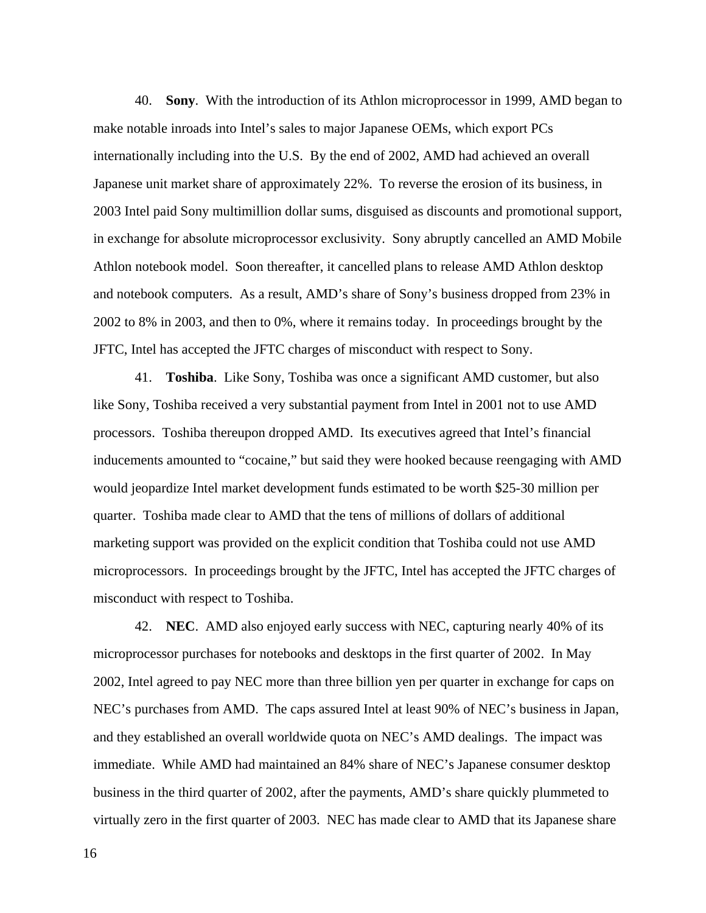40. **Sony**. With the introduction of its Athlon microprocessor in 1999, AMD began to make notable inroads into Intel's sales to major Japanese OEMs, which export PCs internationally including into the U.S. By the end of 2002, AMD had achieved an overall Japanese unit market share of approximately 22%. To reverse the erosion of its business, in 2003 Intel paid Sony multimillion dollar sums, disguised as discounts and promotional support, in exchange for absolute microprocessor exclusivity. Sony abruptly cancelled an AMD Mobile Athlon notebook model. Soon thereafter, it cancelled plans to release AMD Athlon desktop and notebook computers. As a result, AMD's share of Sony's business dropped from 23% in 2002 to 8% in 2003, and then to 0%, where it remains today. In proceedings brought by the JFTC, Intel has accepted the JFTC charges of misconduct with respect to Sony.

41. **Toshiba**. Like Sony, Toshiba was once a significant AMD customer, but also like Sony, Toshiba received a very substantial payment from Intel in 2001 not to use AMD processors. Toshiba thereupon dropped AMD. Its executives agreed that Intel's financial inducements amounted to "cocaine," but said they were hooked because reengaging with AMD would jeopardize Intel market development funds estimated to be worth \$25-30 million per quarter. Toshiba made clear to AMD that the tens of millions of dollars of additional marketing support was provided on the explicit condition that Toshiba could not use AMD microprocessors. In proceedings brought by the JFTC, Intel has accepted the JFTC charges of misconduct with respect to Toshiba.

42. **NEC**. AMD also enjoyed early success with NEC, capturing nearly 40% of its microprocessor purchases for notebooks and desktops in the first quarter of 2002. In May 2002, Intel agreed to pay NEC more than three billion yen per quarter in exchange for caps on NEC's purchases from AMD. The caps assured Intel at least 90% of NEC's business in Japan, and they established an overall worldwide quota on NEC's AMD dealings. The impact was immediate. While AMD had maintained an 84% share of NEC's Japanese consumer desktop business in the third quarter of 2002, after the payments, AMD's share quickly plummeted to virtually zero in the first quarter of 2003. NEC has made clear to AMD that its Japanese share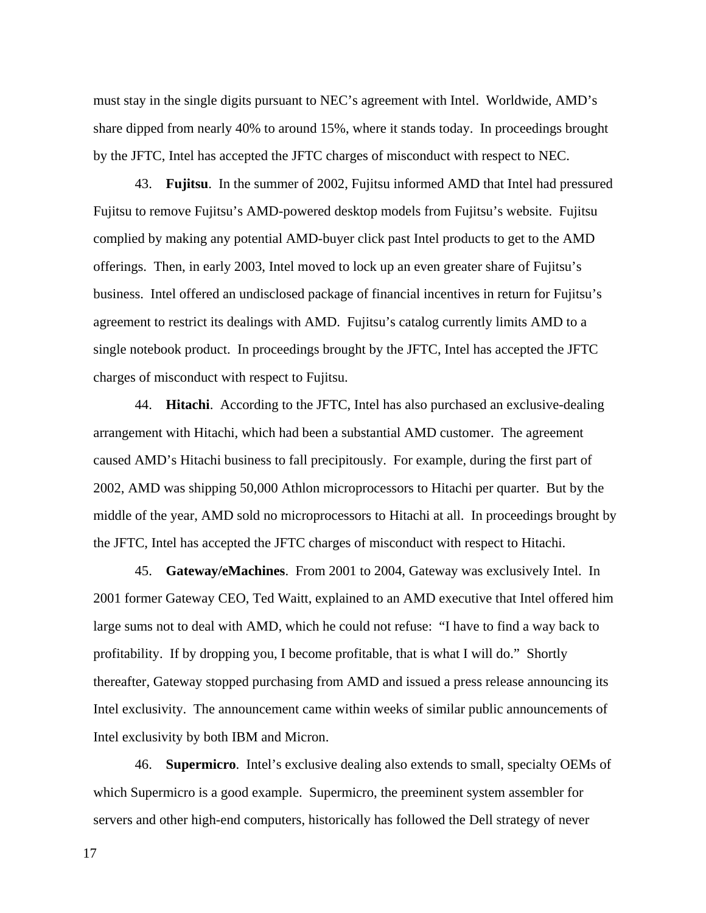must stay in the single digits pursuant to NEC's agreement with Intel. Worldwide, AMD's share dipped from nearly 40% to around 15%, where it stands today. In proceedings brought by the JFTC, Intel has accepted the JFTC charges of misconduct with respect to NEC.

43. **Fujitsu**. In the summer of 2002, Fujitsu informed AMD that Intel had pressured Fujitsu to remove Fujitsu's AMD-powered desktop models from Fujitsu's website. Fujitsu complied by making any potential AMD-buyer click past Intel products to get to the AMD offerings. Then, in early 2003, Intel moved to lock up an even greater share of Fujitsu's business. Intel offered an undisclosed package of financial incentives in return for Fujitsu's agreement to restrict its dealings with AMD. Fujitsu's catalog currently limits AMD to a single notebook product. In proceedings brought by the JFTC, Intel has accepted the JFTC charges of misconduct with respect to Fujitsu.

44. **Hitachi**. According to the JFTC, Intel has also purchased an exclusive-dealing arrangement with Hitachi, which had been a substantial AMD customer. The agreement caused AMD's Hitachi business to fall precipitously. For example, during the first part of 2002, AMD was shipping 50,000 Athlon microprocessors to Hitachi per quarter. But by the middle of the year, AMD sold no microprocessors to Hitachi at all. In proceedings brought by the JFTC, Intel has accepted the JFTC charges of misconduct with respect to Hitachi.

45. **Gateway/eMachines**. From 2001 to 2004, Gateway was exclusively Intel. In 2001 former Gateway CEO, Ted Waitt, explained to an AMD executive that Intel offered him large sums not to deal with AMD, which he could not refuse: "I have to find a way back to profitability. If by dropping you, I become profitable, that is what I will do." Shortly thereafter, Gateway stopped purchasing from AMD and issued a press release announcing its Intel exclusivity. The announcement came within weeks of similar public announcements of Intel exclusivity by both IBM and Micron.

46. **Supermicro**. Intel's exclusive dealing also extends to small, specialty OEMs of which Supermicro is a good example. Supermicro, the preeminent system assembler for servers and other high-end computers, historically has followed the Dell strategy of never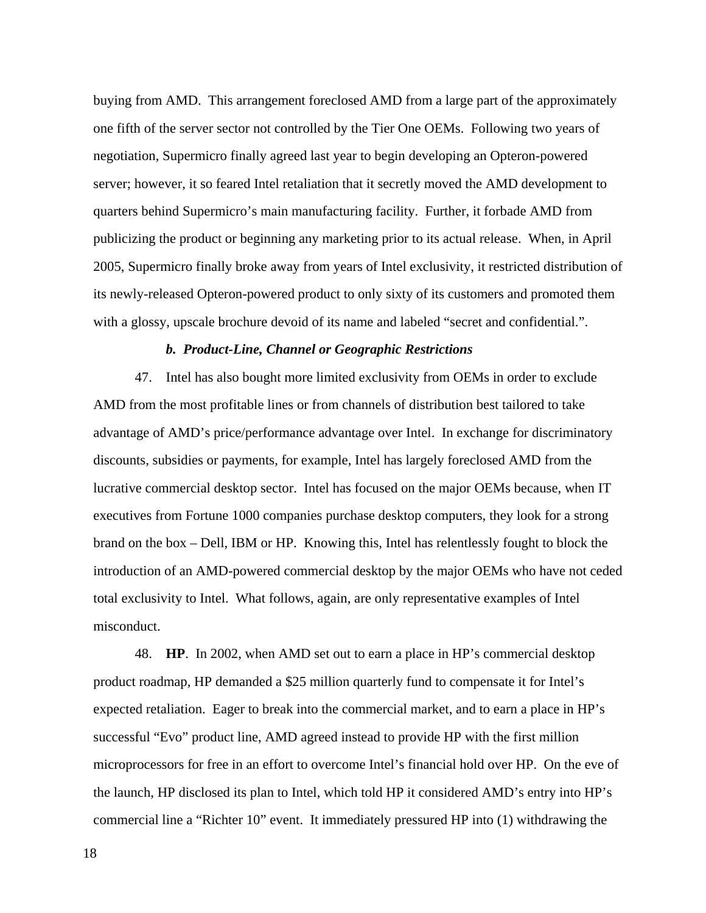buying from AMD. This arrangement foreclosed AMD from a large part of the approximately one fifth of the server sector not controlled by the Tier One OEMs. Following two years of negotiation, Supermicro finally agreed last year to begin developing an Opteron-powered server; however, it so feared Intel retaliation that it secretly moved the AMD development to quarters behind Supermicro's main manufacturing facility. Further, it forbade AMD from publicizing the product or beginning any marketing prior to its actual release. When, in April 2005, Supermicro finally broke away from years of Intel exclusivity, it restricted distribution of its newly-released Opteron-powered product to only sixty of its customers and promoted them with a glossy, upscale brochure devoid of its name and labeled "secret and confidential.".

## *b. Product-Line, Channel or Geographic Restrictions*

47. Intel has also bought more limited exclusivity from OEMs in order to exclude AMD from the most profitable lines or from channels of distribution best tailored to take advantage of AMD's price/performance advantage over Intel. In exchange for discriminatory discounts, subsidies or payments, for example, Intel has largely foreclosed AMD from the lucrative commercial desktop sector. Intel has focused on the major OEMs because, when IT executives from Fortune 1000 companies purchase desktop computers, they look for a strong brand on the box – Dell, IBM or HP. Knowing this, Intel has relentlessly fought to block the introduction of an AMD-powered commercial desktop by the major OEMs who have not ceded total exclusivity to Intel. What follows, again, are only representative examples of Intel misconduct.

48. **HP**. In 2002, when AMD set out to earn a place in HP's commercial desktop product roadmap, HP demanded a \$25 million quarterly fund to compensate it for Intel's expected retaliation. Eager to break into the commercial market, and to earn a place in HP's successful "Evo" product line, AMD agreed instead to provide HP with the first million microprocessors for free in an effort to overcome Intel's financial hold over HP. On the eve of the launch, HP disclosed its plan to Intel, which told HP it considered AMD's entry into HP's commercial line a "Richter 10" event. It immediately pressured HP into (1) withdrawing the

18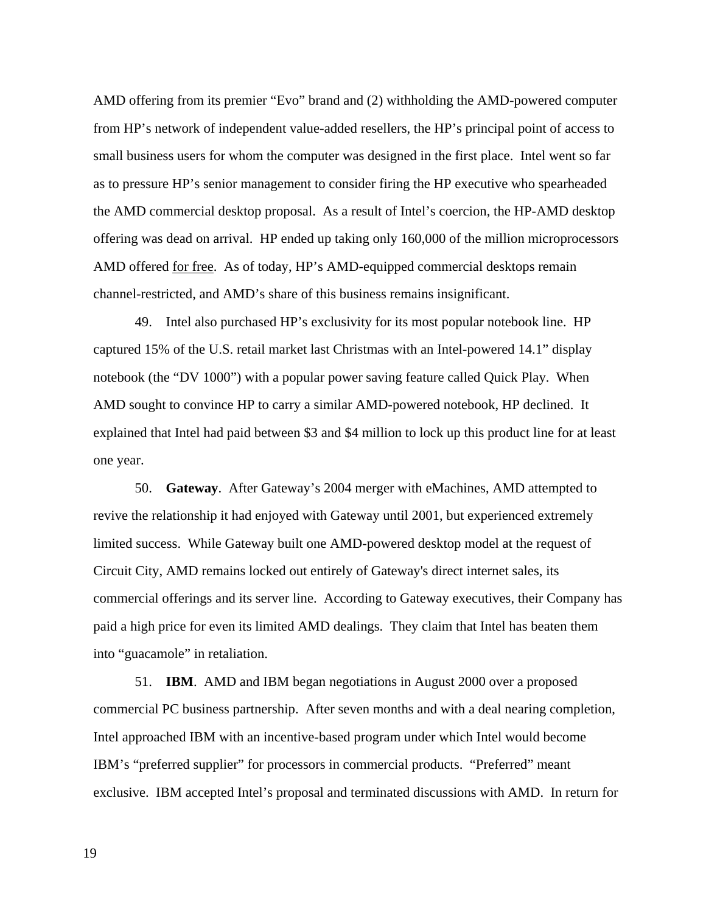AMD offering from its premier "Evo" brand and (2) withholding the AMD-powered computer from HP's network of independent value-added resellers, the HP's principal point of access to small business users for whom the computer was designed in the first place. Intel went so far as to pressure HP's senior management to consider firing the HP executive who spearheaded the AMD commercial desktop proposal. As a result of Intel's coercion, the HP-AMD desktop offering was dead on arrival. HP ended up taking only 160,000 of the million microprocessors AMD offered for free. As of today, HP's AMD-equipped commercial desktops remain channel-restricted, and AMD's share of this business remains insignificant.

49. Intel also purchased HP's exclusivity for its most popular notebook line. HP captured 15% of the U.S. retail market last Christmas with an Intel-powered 14.1" display notebook (the "DV 1000") with a popular power saving feature called Quick Play. When AMD sought to convince HP to carry a similar AMD-powered notebook, HP declined. It explained that Intel had paid between \$3 and \$4 million to lock up this product line for at least one year.

50. **Gateway**. After Gateway's 2004 merger with eMachines, AMD attempted to revive the relationship it had enjoyed with Gateway until 2001, but experienced extremely limited success. While Gateway built one AMD-powered desktop model at the request of Circuit City, AMD remains locked out entirely of Gateway's direct internet sales, its commercial offerings and its server line. According to Gateway executives, their Company has paid a high price for even its limited AMD dealings. They claim that Intel has beaten them into "guacamole" in retaliation.

51. **IBM**. AMD and IBM began negotiations in August 2000 over a proposed commercial PC business partnership. After seven months and with a deal nearing completion, Intel approached IBM with an incentive-based program under which Intel would become IBM's "preferred supplier" for processors in commercial products. "Preferred" meant exclusive. IBM accepted Intel's proposal and terminated discussions with AMD. In return for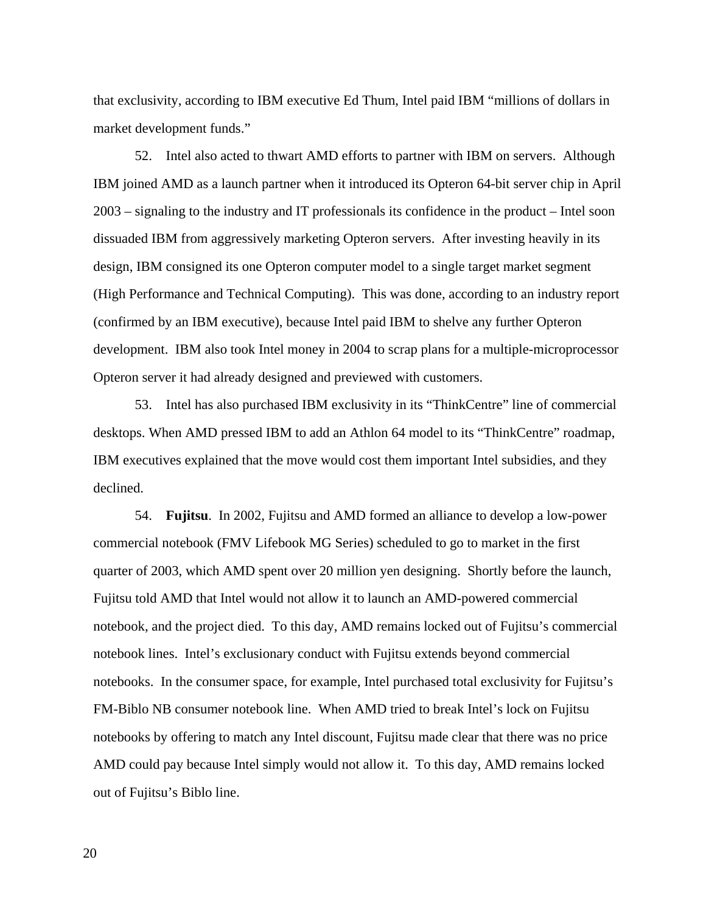that exclusivity, according to IBM executive Ed Thum, Intel paid IBM "millions of dollars in market development funds."

52. Intel also acted to thwart AMD efforts to partner with IBM on servers. Although IBM joined AMD as a launch partner when it introduced its Opteron 64-bit server chip in April 2003 – signaling to the industry and IT professionals its confidence in the product – Intel soon dissuaded IBM from aggressively marketing Opteron servers. After investing heavily in its design, IBM consigned its one Opteron computer model to a single target market segment (High Performance and Technical Computing). This was done, according to an industry report (confirmed by an IBM executive), because Intel paid IBM to shelve any further Opteron development. IBM also took Intel money in 2004 to scrap plans for a multiple-microprocessor Opteron server it had already designed and previewed with customers.

53. Intel has also purchased IBM exclusivity in its "ThinkCentre" line of commercial desktops. When AMD pressed IBM to add an Athlon 64 model to its "ThinkCentre" roadmap, IBM executives explained that the move would cost them important Intel subsidies, and they declined.

54. **Fujitsu**. In 2002, Fujitsu and AMD formed an alliance to develop a low-power commercial notebook (FMV Lifebook MG Series) scheduled to go to market in the first quarter of 2003, which AMD spent over 20 million yen designing. Shortly before the launch, Fujitsu told AMD that Intel would not allow it to launch an AMD-powered commercial notebook, and the project died. To this day, AMD remains locked out of Fujitsu's commercial notebook lines. Intel's exclusionary conduct with Fujitsu extends beyond commercial notebooks. In the consumer space, for example, Intel purchased total exclusivity for Fujitsu's FM-Biblo NB consumer notebook line. When AMD tried to break Intel's lock on Fujitsu notebooks by offering to match any Intel discount, Fujitsu made clear that there was no price AMD could pay because Intel simply would not allow it. To this day, AMD remains locked out of Fujitsu's Biblo line.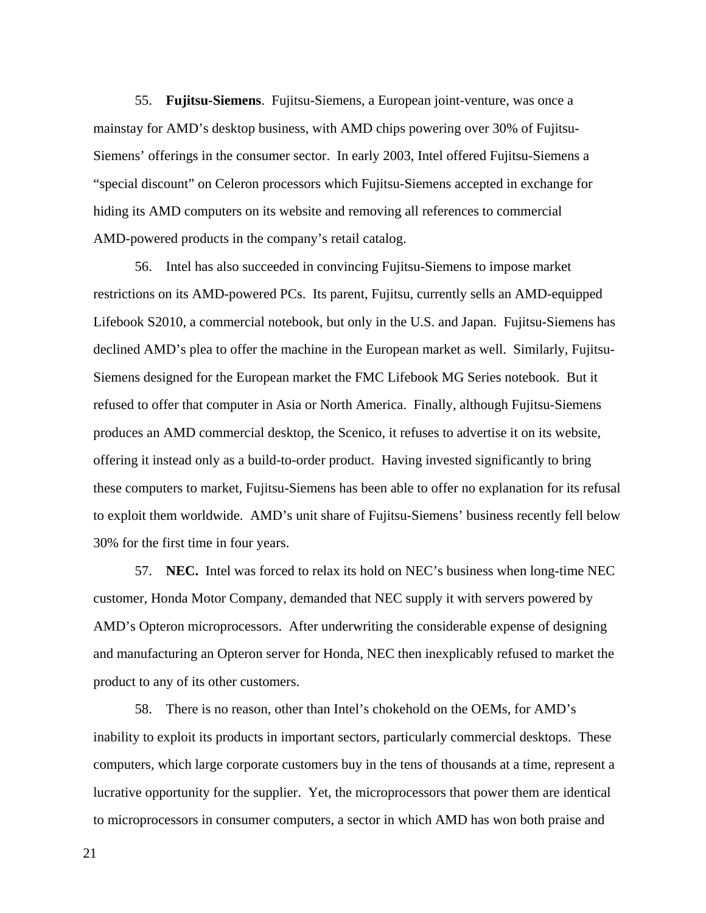55. **Fujitsu-Siemens**. Fujitsu-Siemens, a European joint-venture, was once a mainstay for AMD's desktop business, with AMD chips powering over 30% of Fujitsu-Siemens' offerings in the consumer sector. In early 2003, Intel offered Fujitsu-Siemens a "special discount" on Celeron processors which Fujitsu-Siemens accepted in exchange for hiding its AMD computers on its website and removing all references to commercial AMD-powered products in the company's retail catalog.

56. Intel has also succeeded in convincing Fujitsu-Siemens to impose market restrictions on its AMD-powered PCs. Its parent, Fujitsu, currently sells an AMD-equipped Lifebook S2010, a commercial notebook, but only in the U.S. and Japan. Fujitsu-Siemens has declined AMD's plea to offer the machine in the European market as well. Similarly, Fujitsu-Siemens designed for the European market the FMC Lifebook MG Series notebook. But it refused to offer that computer in Asia or North America. Finally, although Fujitsu-Siemens produces an AMD commercial desktop, the Scenico, it refuses to advertise it on its website, offering it instead only as a build-to-order product. Having invested significantly to bring these computers to market, Fujitsu-Siemens has been able to offer no explanation for its refusal to exploit them worldwide. AMD's unit share of Fujitsu-Siemens' business recently fell below 30% for the first time in four years.

57. **NEC.** Intel was forced to relax its hold on NEC's business when long-time NEC customer, Honda Motor Company, demanded that NEC supply it with servers powered by AMD's Opteron microprocessors. After underwriting the considerable expense of designing and manufacturing an Opteron server for Honda, NEC then inexplicably refused to market the product to any of its other customers.

58. There is no reason, other than Intel's chokehold on the OEMs, for AMD's inability to exploit its products in important sectors, particularly commercial desktops. These computers, which large corporate customers buy in the tens of thousands at a time, represent a lucrative opportunity for the supplier. Yet, the microprocessors that power them are identical to microprocessors in consumer computers, a sector in which AMD has won both praise and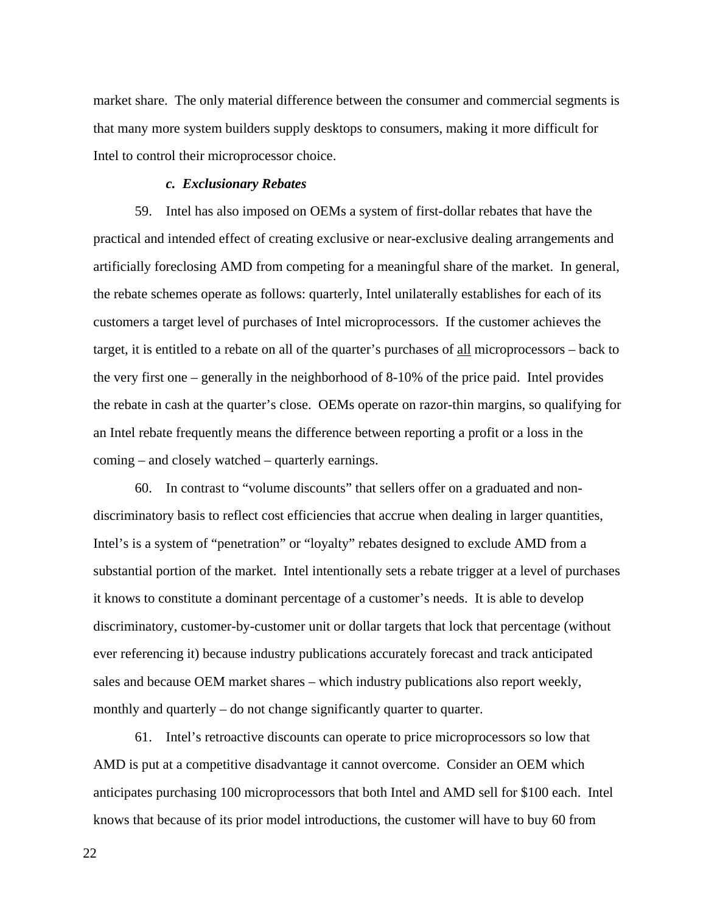market share. The only material difference between the consumer and commercial segments is that many more system builders supply desktops to consumers, making it more difficult for Intel to control their microprocessor choice.

#### *c. Exclusionary Rebates*

59. Intel has also imposed on OEMs a system of first-dollar rebates that have the practical and intended effect of creating exclusive or near-exclusive dealing arrangements and artificially foreclosing AMD from competing for a meaningful share of the market. In general, the rebate schemes operate as follows: quarterly, Intel unilaterally establishes for each of its customers a target level of purchases of Intel microprocessors. If the customer achieves the target, it is entitled to a rebate on all of the quarter's purchases of all microprocessors – back to the very first one – generally in the neighborhood of 8-10% of the price paid. Intel provides the rebate in cash at the quarter's close. OEMs operate on razor-thin margins, so qualifying for an Intel rebate frequently means the difference between reporting a profit or a loss in the coming – and closely watched – quarterly earnings.

60. In contrast to "volume discounts" that sellers offer on a graduated and nondiscriminatory basis to reflect cost efficiencies that accrue when dealing in larger quantities, Intel's is a system of "penetration" or "loyalty" rebates designed to exclude AMD from a substantial portion of the market. Intel intentionally sets a rebate trigger at a level of purchases it knows to constitute a dominant percentage of a customer's needs. It is able to develop discriminatory, customer-by-customer unit or dollar targets that lock that percentage (without ever referencing it) because industry publications accurately forecast and track anticipated sales and because OEM market shares – which industry publications also report weekly, monthly and quarterly – do not change significantly quarter to quarter.

61. Intel's retroactive discounts can operate to price microprocessors so low that AMD is put at a competitive disadvantage it cannot overcome. Consider an OEM which anticipates purchasing 100 microprocessors that both Intel and AMD sell for \$100 each. Intel knows that because of its prior model introductions, the customer will have to buy 60 from

22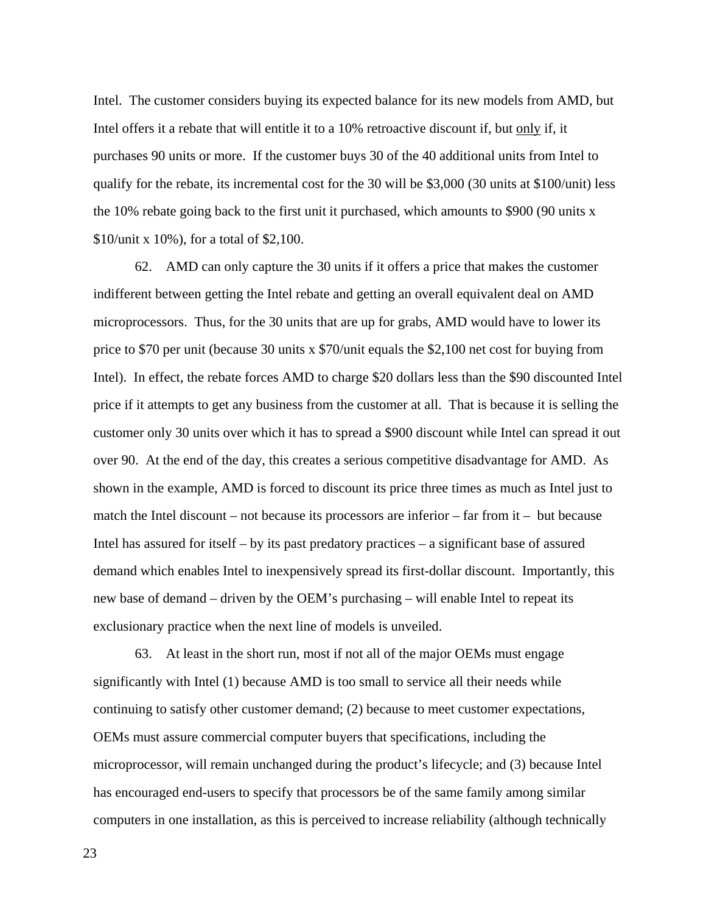Intel. The customer considers buying its expected balance for its new models from AMD, but Intel offers it a rebate that will entitle it to a 10% retroactive discount if, but only if, it purchases 90 units or more. If the customer buys 30 of the 40 additional units from Intel to qualify for the rebate, its incremental cost for the 30 will be \$3,000 (30 units at \$100/unit) less the 10% rebate going back to the first unit it purchased, which amounts to \$900 (90 units x \$10/unit x 10%), for a total of \$2,100.

62. AMD can only capture the 30 units if it offers a price that makes the customer indifferent between getting the Intel rebate and getting an overall equivalent deal on AMD microprocessors. Thus, for the 30 units that are up for grabs, AMD would have to lower its price to \$70 per unit (because 30 units  $x$  \$70/unit equals the \$2,100 net cost for buying from Intel). In effect, the rebate forces AMD to charge \$20 dollars less than the \$90 discounted Intel price if it attempts to get any business from the customer at all. That is because it is selling the customer only 30 units over which it has to spread a \$900 discount while Intel can spread it out over 90. At the end of the day, this creates a serious competitive disadvantage for AMD. As shown in the example, AMD is forced to discount its price three times as much as Intel just to match the Intel discount – not because its processors are inferior – far from it – but because Intel has assured for itself – by its past predatory practices – a significant base of assured demand which enables Intel to inexpensively spread its first-dollar discount. Importantly, this new base of demand – driven by the OEM's purchasing – will enable Intel to repeat its exclusionary practice when the next line of models is unveiled.

63. At least in the short run, most if not all of the major OEMs must engage significantly with Intel (1) because AMD is too small to service all their needs while continuing to satisfy other customer demand; (2) because to meet customer expectations, OEMs must assure commercial computer buyers that specifications, including the microprocessor, will remain unchanged during the product's lifecycle; and (3) because Intel has encouraged end-users to specify that processors be of the same family among similar computers in one installation, as this is perceived to increase reliability (although technically

23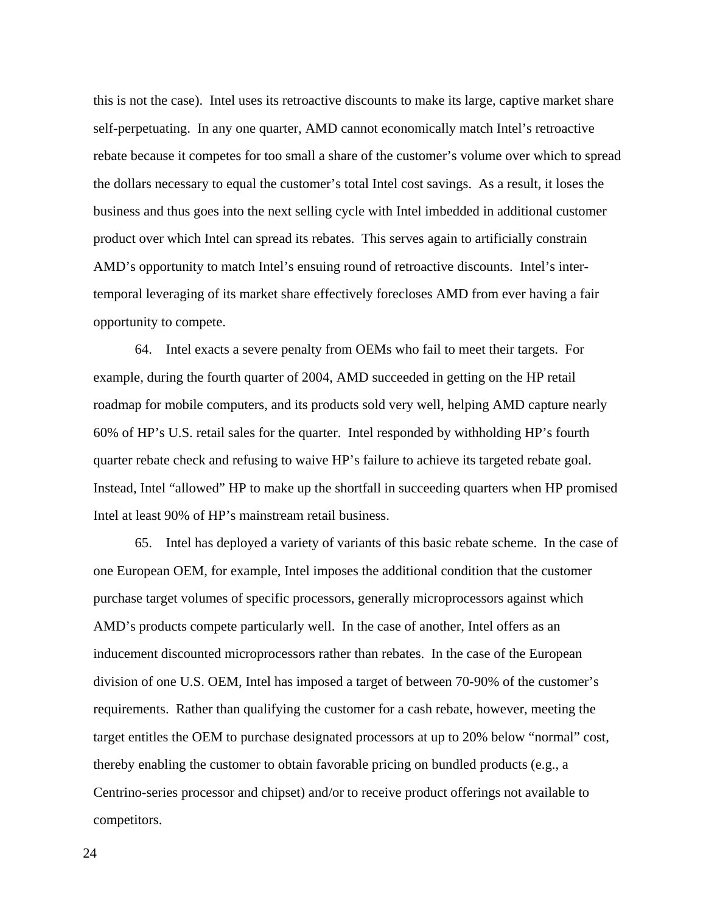this is not the case). Intel uses its retroactive discounts to make its large, captive market share self-perpetuating. In any one quarter, AMD cannot economically match Intel's retroactive rebate because it competes for too small a share of the customer's volume over which to spread the dollars necessary to equal the customer's total Intel cost savings. As a result, it loses the business and thus goes into the next selling cycle with Intel imbedded in additional customer product over which Intel can spread its rebates. This serves again to artificially constrain AMD's opportunity to match Intel's ensuing round of retroactive discounts. Intel's intertemporal leveraging of its market share effectively forecloses AMD from ever having a fair opportunity to compete.

64. Intel exacts a severe penalty from OEMs who fail to meet their targets. For example, during the fourth quarter of 2004, AMD succeeded in getting on the HP retail roadmap for mobile computers, and its products sold very well, helping AMD capture nearly 60% of HP's U.S. retail sales for the quarter. Intel responded by withholding HP's fourth quarter rebate check and refusing to waive HP's failure to achieve its targeted rebate goal. Instead, Intel "allowed" HP to make up the shortfall in succeeding quarters when HP promised Intel at least 90% of HP's mainstream retail business.

65. Intel has deployed a variety of variants of this basic rebate scheme. In the case of one European OEM, for example, Intel imposes the additional condition that the customer purchase target volumes of specific processors, generally microprocessors against which AMD's products compete particularly well. In the case of another, Intel offers as an inducement discounted microprocessors rather than rebates. In the case of the European division of one U.S. OEM, Intel has imposed a target of between 70-90% of the customer's requirements. Rather than qualifying the customer for a cash rebate, however, meeting the target entitles the OEM to purchase designated processors at up to 20% below "normal" cost, thereby enabling the customer to obtain favorable pricing on bundled products (e.g., a Centrino-series processor and chipset) and/or to receive product offerings not available to competitors.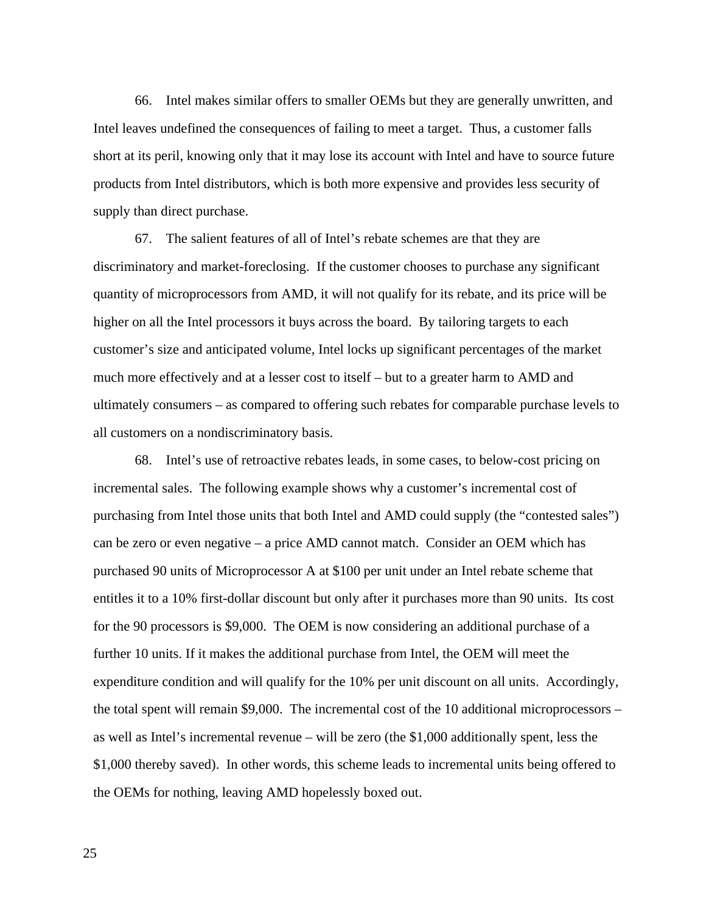66. Intel makes similar offers to smaller OEMs but they are generally unwritten, and Intel leaves undefined the consequences of failing to meet a target. Thus, a customer falls short at its peril, knowing only that it may lose its account with Intel and have to source future products from Intel distributors, which is both more expensive and provides less security of supply than direct purchase.

67. The salient features of all of Intel's rebate schemes are that they are discriminatory and market-foreclosing. If the customer chooses to purchase any significant quantity of microprocessors from AMD, it will not qualify for its rebate, and its price will be higher on all the Intel processors it buys across the board. By tailoring targets to each customer's size and anticipated volume, Intel locks up significant percentages of the market much more effectively and at a lesser cost to itself – but to a greater harm to AMD and ultimately consumers – as compared to offering such rebates for comparable purchase levels to all customers on a nondiscriminatory basis.

68. Intel's use of retroactive rebates leads, in some cases, to below-cost pricing on incremental sales. The following example shows why a customer's incremental cost of purchasing from Intel those units that both Intel and AMD could supply (the "contested sales") can be zero or even negative – a price AMD cannot match. Consider an OEM which has purchased 90 units of Microprocessor A at \$100 per unit under an Intel rebate scheme that entitles it to a 10% first-dollar discount but only after it purchases more than 90 units. Its cost for the 90 processors is \$9,000. The OEM is now considering an additional purchase of a further 10 units. If it makes the additional purchase from Intel, the OEM will meet the expenditure condition and will qualify for the 10% per unit discount on all units. Accordingly, the total spent will remain \$9,000. The incremental cost of the 10 additional microprocessors – as well as Intel's incremental revenue – will be zero (the \$1,000 additionally spent, less the \$1,000 thereby saved). In other words, this scheme leads to incremental units being offered to the OEMs for nothing, leaving AMD hopelessly boxed out.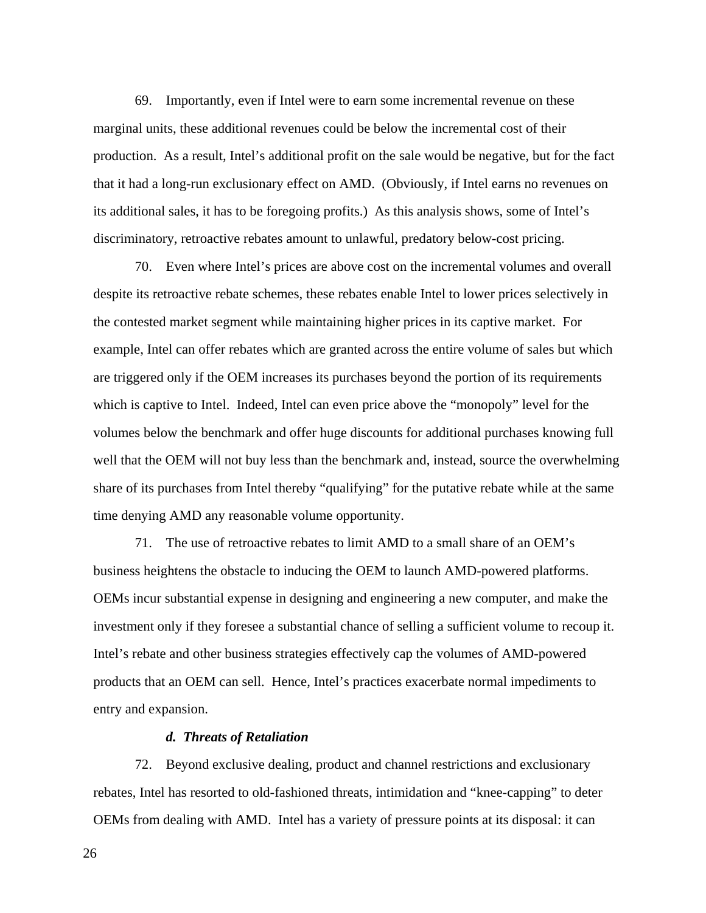69. Importantly, even if Intel were to earn some incremental revenue on these marginal units, these additional revenues could be below the incremental cost of their production. As a result, Intel's additional profit on the sale would be negative, but for the fact that it had a long-run exclusionary effect on AMD. (Obviously, if Intel earns no revenues on its additional sales, it has to be foregoing profits.) As this analysis shows, some of Intel's discriminatory, retroactive rebates amount to unlawful, predatory below-cost pricing.

70. Even where Intel's prices are above cost on the incremental volumes and overall despite its retroactive rebate schemes, these rebates enable Intel to lower prices selectively in the contested market segment while maintaining higher prices in its captive market. For example, Intel can offer rebates which are granted across the entire volume of sales but which are triggered only if the OEM increases its purchases beyond the portion of its requirements which is captive to Intel. Indeed, Intel can even price above the "monopoly" level for the volumes below the benchmark and offer huge discounts for additional purchases knowing full well that the OEM will not buy less than the benchmark and, instead, source the overwhelming share of its purchases from Intel thereby "qualifying" for the putative rebate while at the same time denying AMD any reasonable volume opportunity.

71. The use of retroactive rebates to limit AMD to a small share of an OEM's business heightens the obstacle to inducing the OEM to launch AMD-powered platforms. OEMs incur substantial expense in designing and engineering a new computer, and make the investment only if they foresee a substantial chance of selling a sufficient volume to recoup it. Intel's rebate and other business strategies effectively cap the volumes of AMD-powered products that an OEM can sell. Hence, Intel's practices exacerbate normal impediments to entry and expansion.

## *d. Threats of Retaliation*

72. Beyond exclusive dealing, product and channel restrictions and exclusionary rebates, Intel has resorted to old-fashioned threats, intimidation and "knee-capping" to deter OEMs from dealing with AMD. Intel has a variety of pressure points at its disposal: it can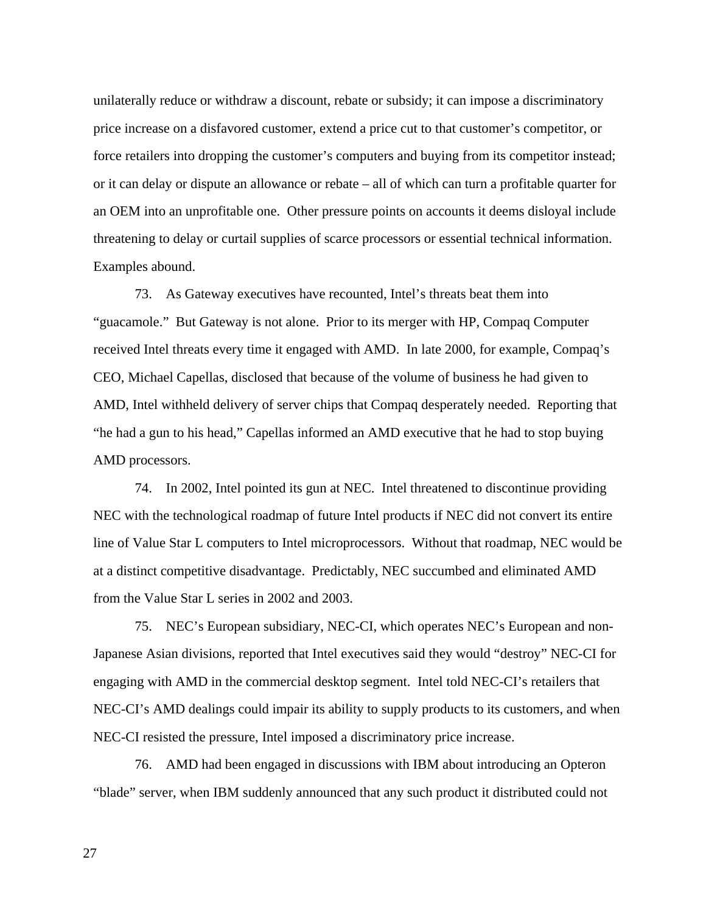unilaterally reduce or withdraw a discount, rebate or subsidy; it can impose a discriminatory price increase on a disfavored customer, extend a price cut to that customer's competitor, or force retailers into dropping the customer's computers and buying from its competitor instead; or it can delay or dispute an allowance or rebate – all of which can turn a profitable quarter for an OEM into an unprofitable one. Other pressure points on accounts it deems disloyal include threatening to delay or curtail supplies of scarce processors or essential technical information. Examples abound.

73. As Gateway executives have recounted, Intel's threats beat them into "guacamole." But Gateway is not alone. Prior to its merger with HP, Compaq Computer received Intel threats every time it engaged with AMD. In late 2000, for example, Compaq's CEO, Michael Capellas, disclosed that because of the volume of business he had given to AMD, Intel withheld delivery of server chips that Compaq desperately needed. Reporting that "he had a gun to his head," Capellas informed an AMD executive that he had to stop buying AMD processors.

74. In 2002, Intel pointed its gun at NEC. Intel threatened to discontinue providing NEC with the technological roadmap of future Intel products if NEC did not convert its entire line of Value Star L computers to Intel microprocessors. Without that roadmap, NEC would be at a distinct competitive disadvantage. Predictably, NEC succumbed and eliminated AMD from the Value Star L series in 2002 and 2003.

75. NEC's European subsidiary, NEC-CI, which operates NEC's European and non-Japanese Asian divisions, reported that Intel executives said they would "destroy" NEC-CI for engaging with AMD in the commercial desktop segment. Intel told NEC-CI's retailers that NEC-CI's AMD dealings could impair its ability to supply products to its customers, and when NEC-CI resisted the pressure, Intel imposed a discriminatory price increase.

76. AMD had been engaged in discussions with IBM about introducing an Opteron "blade" server, when IBM suddenly announced that any such product it distributed could not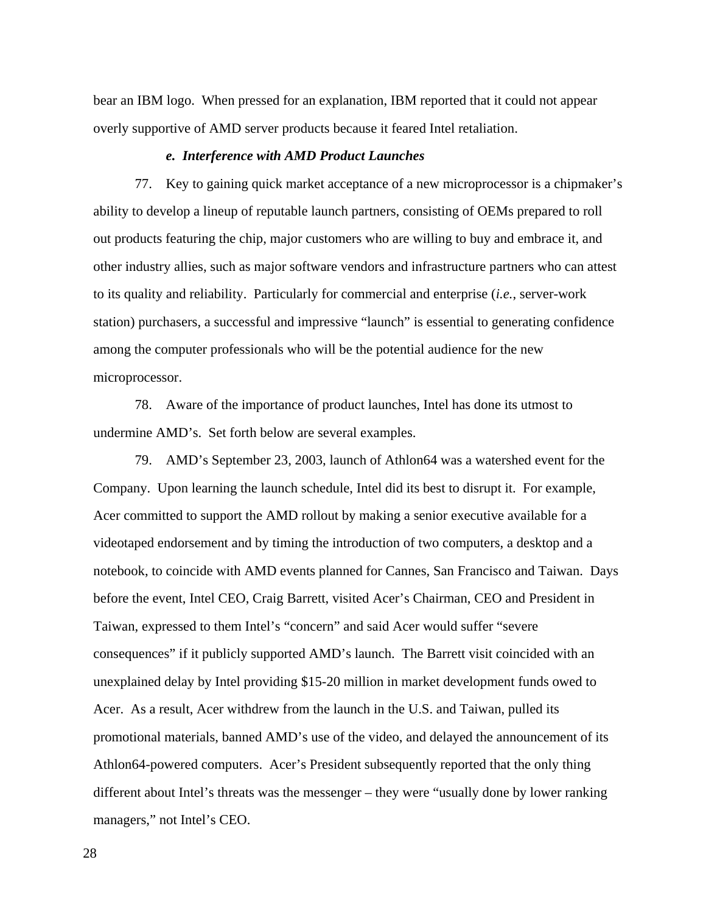bear an IBM logo. When pressed for an explanation, IBM reported that it could not appear overly supportive of AMD server products because it feared Intel retaliation.

#### *e. Interference with AMD Product Launches*

77. Key to gaining quick market acceptance of a new microprocessor is a chipmaker's ability to develop a lineup of reputable launch partners, consisting of OEMs prepared to roll out products featuring the chip, major customers who are willing to buy and embrace it, and other industry allies, such as major software vendors and infrastructure partners who can attest to its quality and reliability. Particularly for commercial and enterprise (*i.e.*, server-work station) purchasers, a successful and impressive "launch" is essential to generating confidence among the computer professionals who will be the potential audience for the new microprocessor.

78. Aware of the importance of product launches, Intel has done its utmost to undermine AMD's. Set forth below are several examples.

79. AMD's September 23, 2003, launch of Athlon64 was a watershed event for the Company. Upon learning the launch schedule, Intel did its best to disrupt it. For example, Acer committed to support the AMD rollout by making a senior executive available for a videotaped endorsement and by timing the introduction of two computers, a desktop and a notebook, to coincide with AMD events planned for Cannes, San Francisco and Taiwan. Days before the event, Intel CEO, Craig Barrett, visited Acer's Chairman, CEO and President in Taiwan, expressed to them Intel's "concern" and said Acer would suffer "severe consequences" if it publicly supported AMD's launch. The Barrett visit coincided with an unexplained delay by Intel providing \$15-20 million in market development funds owed to Acer. As a result, Acer withdrew from the launch in the U.S. and Taiwan, pulled its promotional materials, banned AMD's use of the video, and delayed the announcement of its Athlon64-powered computers. Acer's President subsequently reported that the only thing different about Intel's threats was the messenger – they were "usually done by lower ranking managers," not Intel's CEO.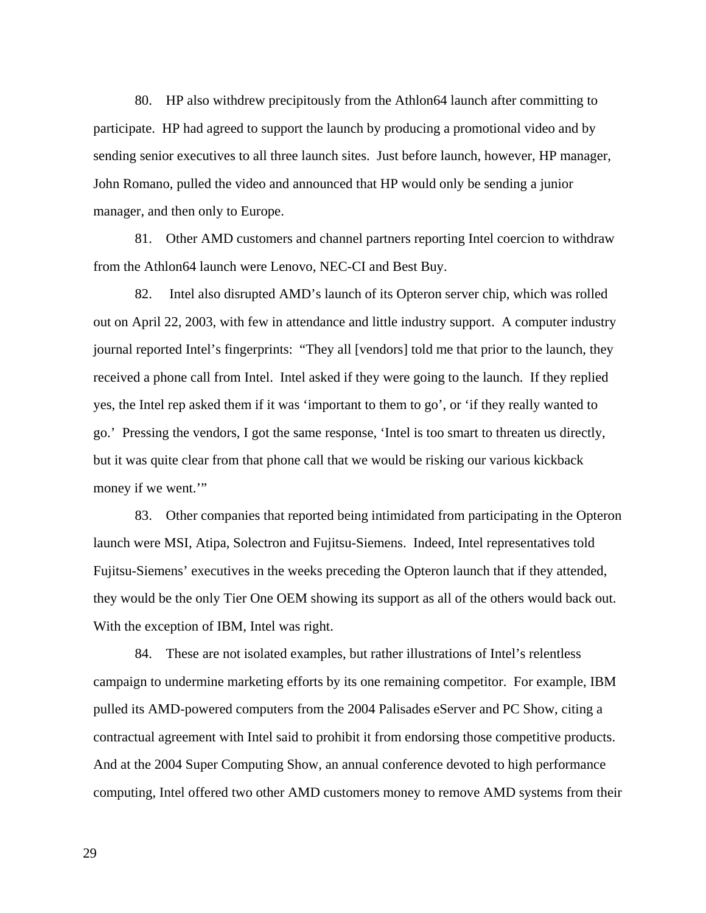80. HP also withdrew precipitously from the Athlon64 launch after committing to participate. HP had agreed to support the launch by producing a promotional video and by sending senior executives to all three launch sites. Just before launch, however, HP manager, John Romano, pulled the video and announced that HP would only be sending a junior manager, and then only to Europe.

81. Other AMD customers and channel partners reporting Intel coercion to withdraw from the Athlon64 launch were Lenovo, NEC-CI and Best Buy.

82. Intel also disrupted AMD's launch of its Opteron server chip, which was rolled out on April 22, 2003, with few in attendance and little industry support. A computer industry journal reported Intel's fingerprints: "They all [vendors] told me that prior to the launch, they received a phone call from Intel. Intel asked if they were going to the launch. If they replied yes, the Intel rep asked them if it was 'important to them to go', or 'if they really wanted to go.' Pressing the vendors, I got the same response, 'Intel is too smart to threaten us directly, but it was quite clear from that phone call that we would be risking our various kickback money if we went."

83. Other companies that reported being intimidated from participating in the Opteron launch were MSI, Atipa, Solectron and Fujitsu-Siemens. Indeed, Intel representatives told Fujitsu-Siemens' executives in the weeks preceding the Opteron launch that if they attended, they would be the only Tier One OEM showing its support as all of the others would back out. With the exception of IBM, Intel was right.

84. These are not isolated examples, but rather illustrations of Intel's relentless campaign to undermine marketing efforts by its one remaining competitor. For example, IBM pulled its AMD-powered computers from the 2004 Palisades eServer and PC Show, citing a contractual agreement with Intel said to prohibit it from endorsing those competitive products. And at the 2004 Super Computing Show, an annual conference devoted to high performance computing, Intel offered two other AMD customers money to remove AMD systems from their

29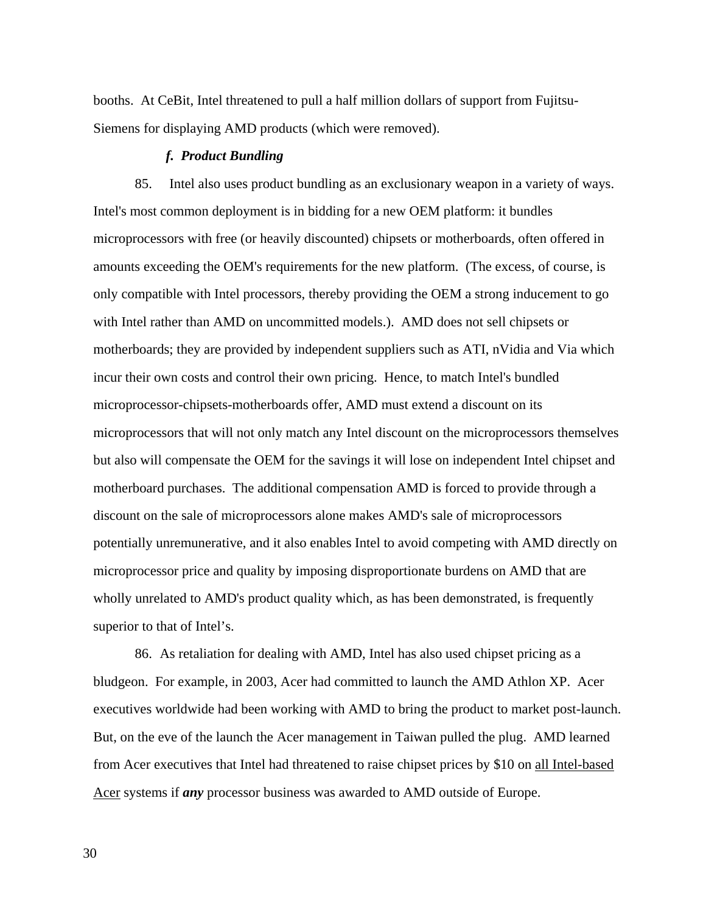booths. At CeBit, Intel threatened to pull a half million dollars of support from Fujitsu-Siemens for displaying AMD products (which were removed).

## *f. Product Bundling*

85.Intel also uses product bundling as an exclusionary weapon in a variety of ways. Intel's most common deployment is in bidding for a new OEM platform: it bundles microprocessors with free (or heavily discounted) chipsets or motherboards, often offered in amounts exceeding the OEM's requirements for the new platform. (The excess, of course, is only compatible with Intel processors, thereby providing the OEM a strong inducement to go with Intel rather than AMD on uncommitted models.). AMD does not sell chipsets or motherboards; they are provided by independent suppliers such as ATI, nVidia and Via which incur their own costs and control their own pricing. Hence, to match Intel's bundled microprocessor-chipsets-motherboards offer, AMD must extend a discount on its microprocessors that will not only match any Intel discount on the microprocessors themselves but also will compensate the OEM for the savings it will lose on independent Intel chipset and motherboard purchases. The additional compensation AMD is forced to provide through a discount on the sale of microprocessors alone makes AMD's sale of microprocessors potentially unremunerative, and it also enables Intel to avoid competing with AMD directly on microprocessor price and quality by imposing disproportionate burdens on AMD that are wholly unrelated to AMD's product quality which, as has been demonstrated, is frequently superior to that of Intel's.

86. As retaliation for dealing with AMD, Intel has also used chipset pricing as a bludgeon. For example, in 2003, Acer had committed to launch the AMD Athlon XP. Acer executives worldwide had been working with AMD to bring the product to market post-launch. But, on the eve of the launch the Acer management in Taiwan pulled the plug. AMD learned from Acer executives that Intel had threatened to raise chipset prices by \$10 on all Intel-based Acer systems if *any* processor business was awarded to AMD outside of Europe.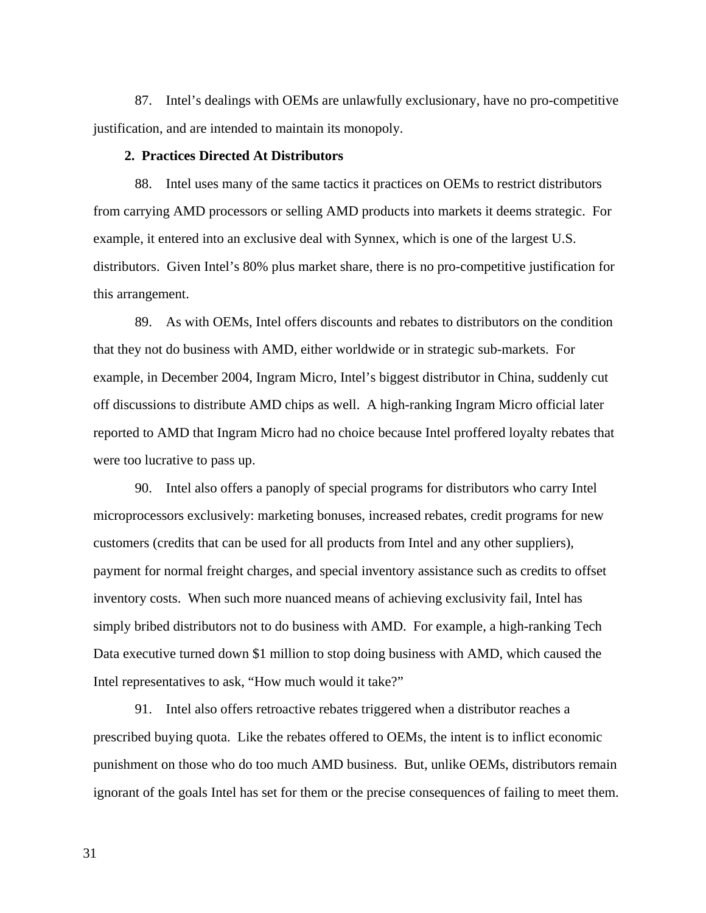87. Intel's dealings with OEMs are unlawfully exclusionary, have no pro-competitive justification, and are intended to maintain its monopoly.

#### **2. Practices Directed At Distributors**

88. Intel uses many of the same tactics it practices on OEMs to restrict distributors from carrying AMD processors or selling AMD products into markets it deems strategic. For example, it entered into an exclusive deal with Synnex, which is one of the largest U.S. distributors. Given Intel's 80% plus market share, there is no pro-competitive justification for this arrangement.

89. As with OEMs, Intel offers discounts and rebates to distributors on the condition that they not do business with AMD, either worldwide or in strategic sub-markets. For example, in December 2004, Ingram Micro, Intel's biggest distributor in China, suddenly cut off discussions to distribute AMD chips as well. A high-ranking Ingram Micro official later reported to AMD that Ingram Micro had no choice because Intel proffered loyalty rebates that were too lucrative to pass up.

90. Intel also offers a panoply of special programs for distributors who carry Intel microprocessors exclusively: marketing bonuses, increased rebates, credit programs for new customers (credits that can be used for all products from Intel and any other suppliers), payment for normal freight charges, and special inventory assistance such as credits to offset inventory costs. When such more nuanced means of achieving exclusivity fail, Intel has simply bribed distributors not to do business with AMD. For example, a high-ranking Tech Data executive turned down \$1 million to stop doing business with AMD, which caused the Intel representatives to ask, "How much would it take?"

91. Intel also offers retroactive rebates triggered when a distributor reaches a prescribed buying quota. Like the rebates offered to OEMs, the intent is to inflict economic punishment on those who do too much AMD business. But, unlike OEMs, distributors remain ignorant of the goals Intel has set for them or the precise consequences of failing to meet them.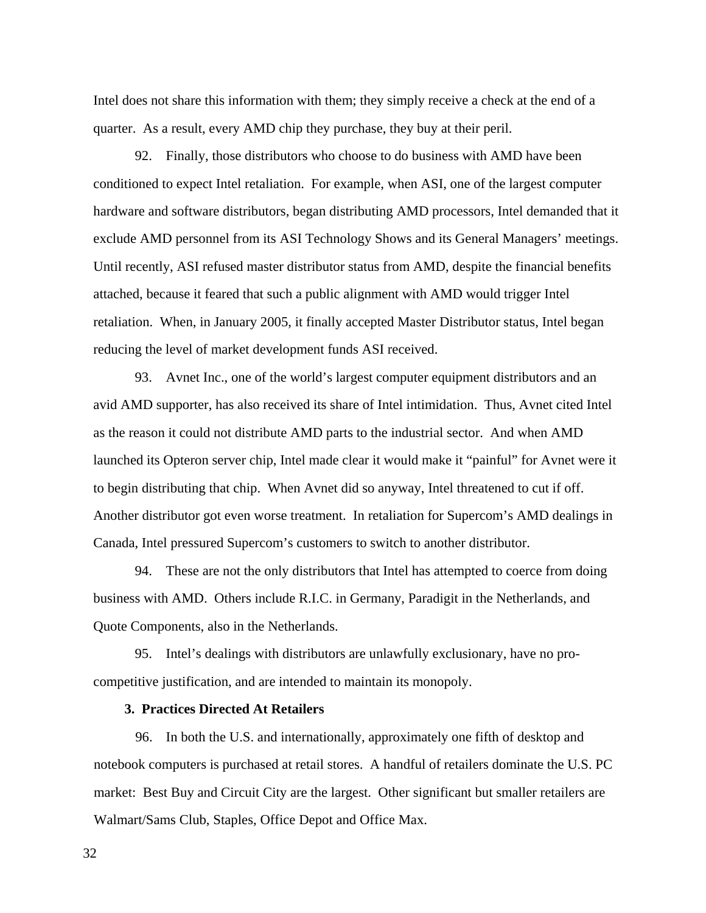Intel does not share this information with them; they simply receive a check at the end of a quarter. As a result, every AMD chip they purchase, they buy at their peril.

92. Finally, those distributors who choose to do business with AMD have been conditioned to expect Intel retaliation. For example, when ASI, one of the largest computer hardware and software distributors, began distributing AMD processors, Intel demanded that it exclude AMD personnel from its ASI Technology Shows and its General Managers' meetings. Until recently, ASI refused master distributor status from AMD, despite the financial benefits attached, because it feared that such a public alignment with AMD would trigger Intel retaliation. When, in January 2005, it finally accepted Master Distributor status, Intel began reducing the level of market development funds ASI received.

93. Avnet Inc., one of the world's largest computer equipment distributors and an avid AMD supporter, has also received its share of Intel intimidation. Thus, Avnet cited Intel as the reason it could not distribute AMD parts to the industrial sector. And when AMD launched its Opteron server chip, Intel made clear it would make it "painful" for Avnet were it to begin distributing that chip. When Avnet did so anyway, Intel threatened to cut if off. Another distributor got even worse treatment. In retaliation for Supercom's AMD dealings in Canada, Intel pressured Supercom's customers to switch to another distributor.

94. These are not the only distributors that Intel has attempted to coerce from doing business with AMD. Others include R.I.C. in Germany, Paradigit in the Netherlands, and Quote Components, also in the Netherlands.

95. Intel's dealings with distributors are unlawfully exclusionary, have no procompetitive justification, and are intended to maintain its monopoly.

## **3. Practices Directed At Retailers**

96. In both the U.S. and internationally, approximately one fifth of desktop and notebook computers is purchased at retail stores. A handful of retailers dominate the U.S. PC market: Best Buy and Circuit City are the largest. Other significant but smaller retailers are Walmart/Sams Club, Staples, Office Depot and Office Max.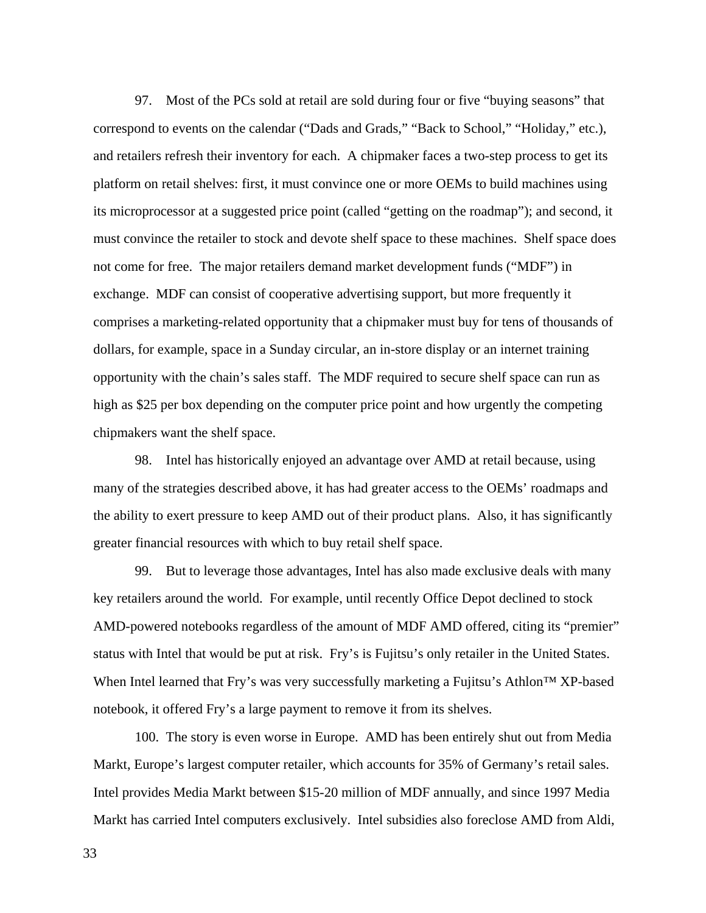97. Most of the PCs sold at retail are sold during four or five "buying seasons" that correspond to events on the calendar ("Dads and Grads," "Back to School," "Holiday," etc.), and retailers refresh their inventory for each. A chipmaker faces a two-step process to get its platform on retail shelves: first, it must convince one or more OEMs to build machines using its microprocessor at a suggested price point (called "getting on the roadmap"); and second, it must convince the retailer to stock and devote shelf space to these machines. Shelf space does not come for free. The major retailers demand market development funds ("MDF") in exchange. MDF can consist of cooperative advertising support, but more frequently it comprises a marketing-related opportunity that a chipmaker must buy for tens of thousands of dollars, for example, space in a Sunday circular, an in-store display or an internet training opportunity with the chain's sales staff. The MDF required to secure shelf space can run as high as \$25 per box depending on the computer price point and how urgently the competing chipmakers want the shelf space.

98. Intel has historically enjoyed an advantage over AMD at retail because, using many of the strategies described above, it has had greater access to the OEMs' roadmaps and the ability to exert pressure to keep AMD out of their product plans. Also, it has significantly greater financial resources with which to buy retail shelf space.

99. But to leverage those advantages, Intel has also made exclusive deals with many key retailers around the world. For example, until recently Office Depot declined to stock AMD-powered notebooks regardless of the amount of MDF AMD offered, citing its "premier" status with Intel that would be put at risk. Fry's is Fujitsu's only retailer in the United States. When Intel learned that Fry's was very successfully marketing a Fujitsu's Athlon™ XP-based notebook, it offered Fry's a large payment to remove it from its shelves.

100. The story is even worse in Europe. AMD has been entirely shut out from Media Markt, Europe's largest computer retailer, which accounts for 35% of Germany's retail sales. Intel provides Media Markt between \$15-20 million of MDF annually, and since 1997 Media Markt has carried Intel computers exclusively. Intel subsidies also foreclose AMD from Aldi,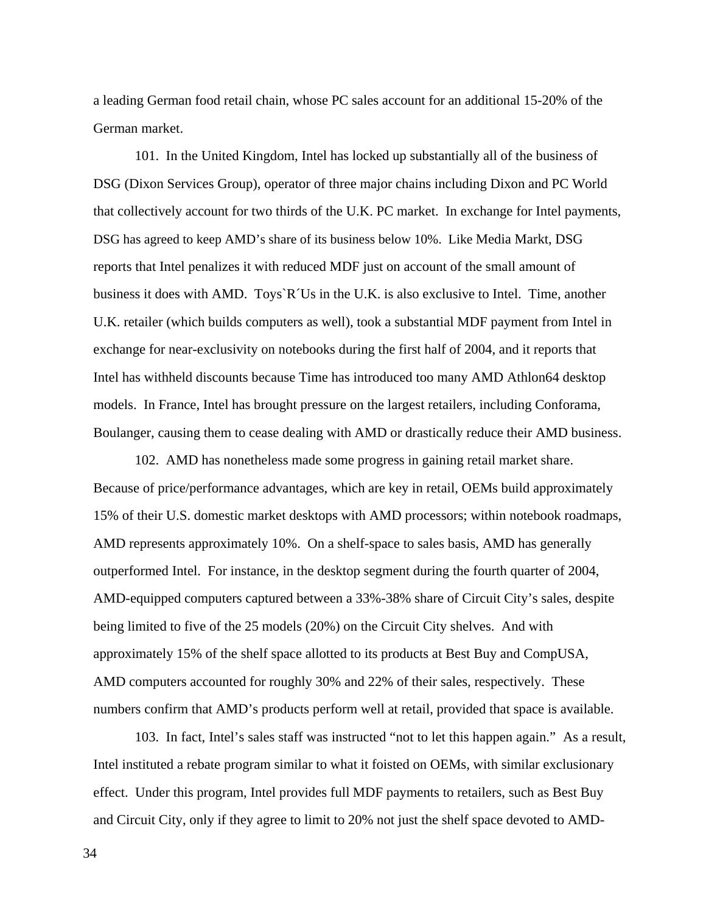a leading German food retail chain, whose PC sales account for an additional 15-20% of the German market.

101. In the United Kingdom, Intel has locked up substantially all of the business of DSG (Dixon Services Group), operator of three major chains including Dixon and PC World that collectively account for two thirds of the U.K. PC market. In exchange for Intel payments, DSG has agreed to keep AMD's share of its business below 10%. Like Media Markt, DSG reports that Intel penalizes it with reduced MDF just on account of the small amount of business it does with AMD. Toys`R´Us in the U.K. is also exclusive to Intel. Time, another U.K. retailer (which builds computers as well), took a substantial MDF payment from Intel in exchange for near-exclusivity on notebooks during the first half of 2004, and it reports that Intel has withheld discounts because Time has introduced too many AMD Athlon64 desktop models. In France, Intel has brought pressure on the largest retailers, including Conforama, Boulanger, causing them to cease dealing with AMD or drastically reduce their AMD business.

102. AMD has nonetheless made some progress in gaining retail market share. Because of price/performance advantages, which are key in retail, OEMs build approximately 15% of their U.S. domestic market desktops with AMD processors; within notebook roadmaps, AMD represents approximately 10%. On a shelf-space to sales basis, AMD has generally outperformed Intel. For instance, in the desktop segment during the fourth quarter of 2004, AMD-equipped computers captured between a 33%-38% share of Circuit City's sales, despite being limited to five of the 25 models (20%) on the Circuit City shelves. And with approximately 15% of the shelf space allotted to its products at Best Buy and CompUSA, AMD computers accounted for roughly 30% and 22% of their sales, respectively. These numbers confirm that AMD's products perform well at retail, provided that space is available.

103. In fact, Intel's sales staff was instructed "not to let this happen again." As a result, Intel instituted a rebate program similar to what it foisted on OEMs, with similar exclusionary effect. Under this program, Intel provides full MDF payments to retailers, such as Best Buy and Circuit City, only if they agree to limit to 20% not just the shelf space devoted to AMD-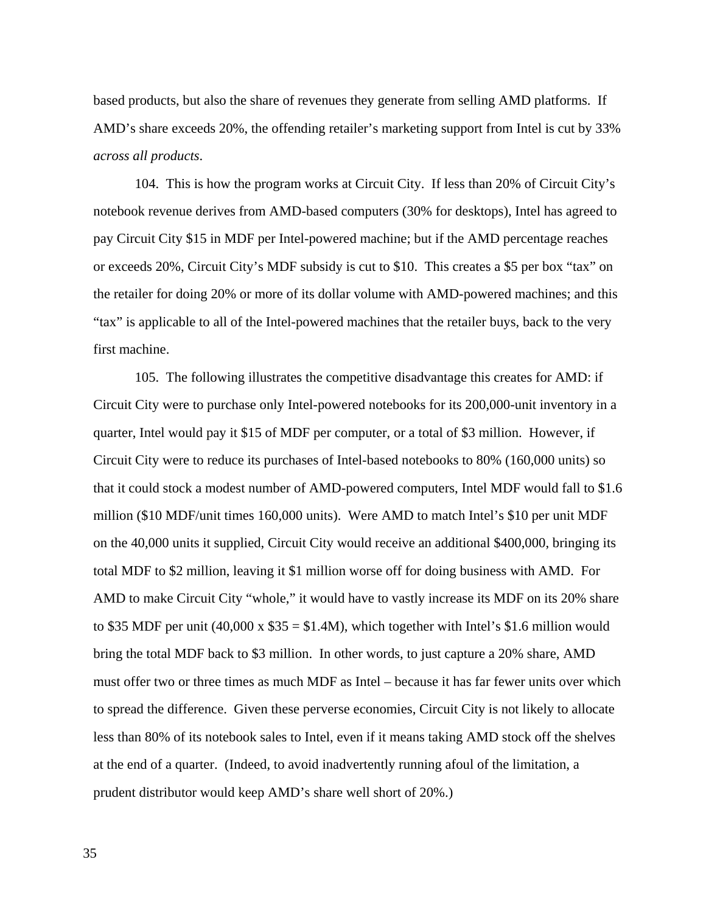based products, but also the share of revenues they generate from selling AMD platforms. If AMD's share exceeds 20%, the offending retailer's marketing support from Intel is cut by 33% *across all products*.

104. This is how the program works at Circuit City. If less than 20% of Circuit City's notebook revenue derives from AMD-based computers (30% for desktops), Intel has agreed to pay Circuit City \$15 in MDF per Intel-powered machine; but if the AMD percentage reaches or exceeds 20%, Circuit City's MDF subsidy is cut to \$10. This creates a \$5 per box "tax" on the retailer for doing 20% or more of its dollar volume with AMD-powered machines; and this "tax" is applicable to all of the Intel-powered machines that the retailer buys, back to the very first machine.

105. The following illustrates the competitive disadvantage this creates for AMD: if Circuit City were to purchase only Intel-powered notebooks for its 200,000-unit inventory in a quarter, Intel would pay it \$15 of MDF per computer, or a total of \$3 million. However, if Circuit City were to reduce its purchases of Intel-based notebooks to 80% (160,000 units) so that it could stock a modest number of AMD-powered computers, Intel MDF would fall to \$1.6 million (\$10 MDF/unit times 160,000 units). Were AMD to match Intel's \$10 per unit MDF on the 40,000 units it supplied, Circuit City would receive an additional \$400,000, bringing its total MDF to \$2 million, leaving it \$1 million worse off for doing business with AMD. For AMD to make Circuit City "whole," it would have to vastly increase its MDF on its 20% share to \$35 MDF per unit  $(40,000 \times $35 = $1.4M)$ , which together with Intel's \$1.6 million would bring the total MDF back to \$3 million. In other words, to just capture a 20% share, AMD must offer two or three times as much MDF as Intel – because it has far fewer units over which to spread the difference. Given these perverse economies, Circuit City is not likely to allocate less than 80% of its notebook sales to Intel, even if it means taking AMD stock off the shelves at the end of a quarter. (Indeed, to avoid inadvertently running afoul of the limitation, a prudent distributor would keep AMD's share well short of 20%.)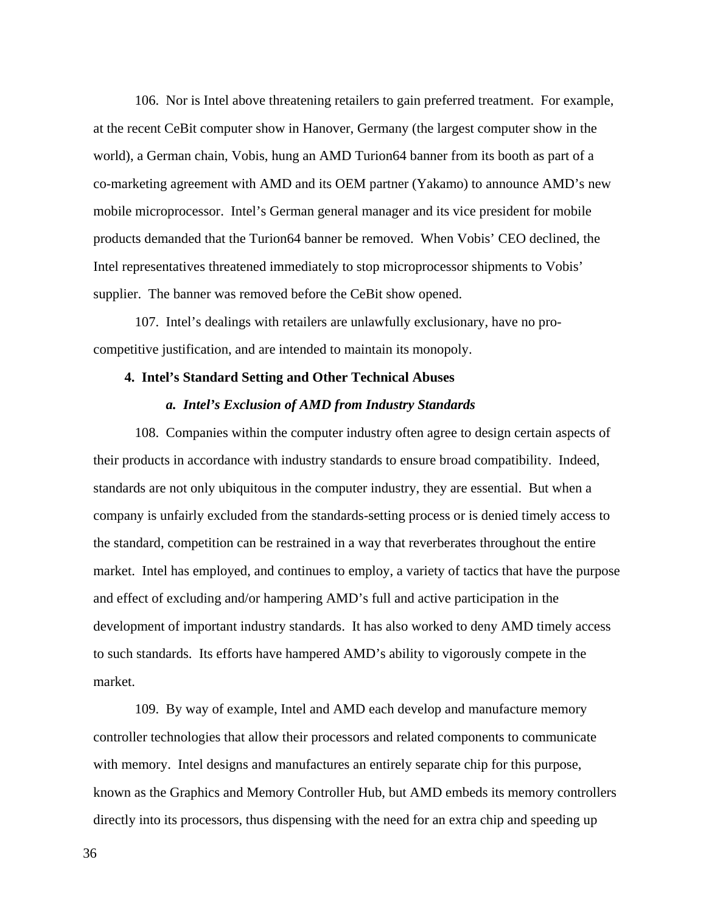106. Nor is Intel above threatening retailers to gain preferred treatment. For example, at the recent CeBit computer show in Hanover, Germany (the largest computer show in the world), a German chain, Vobis, hung an AMD Turion64 banner from its booth as part of a co-marketing agreement with AMD and its OEM partner (Yakamo) to announce AMD's new mobile microprocessor. Intel's German general manager and its vice president for mobile products demanded that the Turion64 banner be removed. When Vobis' CEO declined, the Intel representatives threatened immediately to stop microprocessor shipments to Vobis' supplier. The banner was removed before the CeBit show opened.

107. Intel's dealings with retailers are unlawfully exclusionary, have no procompetitive justification, and are intended to maintain its monopoly.

#### **4. Intel's Standard Setting and Other Technical Abuses**

## *a. Intel's Exclusion of AMD from Industry Standards*

108. Companies within the computer industry often agree to design certain aspects of their products in accordance with industry standards to ensure broad compatibility. Indeed, standards are not only ubiquitous in the computer industry, they are essential. But when a company is unfairly excluded from the standards-setting process or is denied timely access to the standard, competition can be restrained in a way that reverberates throughout the entire market. Intel has employed, and continues to employ, a variety of tactics that have the purpose and effect of excluding and/or hampering AMD's full and active participation in the development of important industry standards. It has also worked to deny AMD timely access to such standards. Its efforts have hampered AMD's ability to vigorously compete in the market.

109. By way of example, Intel and AMD each develop and manufacture memory controller technologies that allow their processors and related components to communicate with memory. Intel designs and manufactures an entirely separate chip for this purpose, known as the Graphics and Memory Controller Hub, but AMD embeds its memory controllers directly into its processors, thus dispensing with the need for an extra chip and speeding up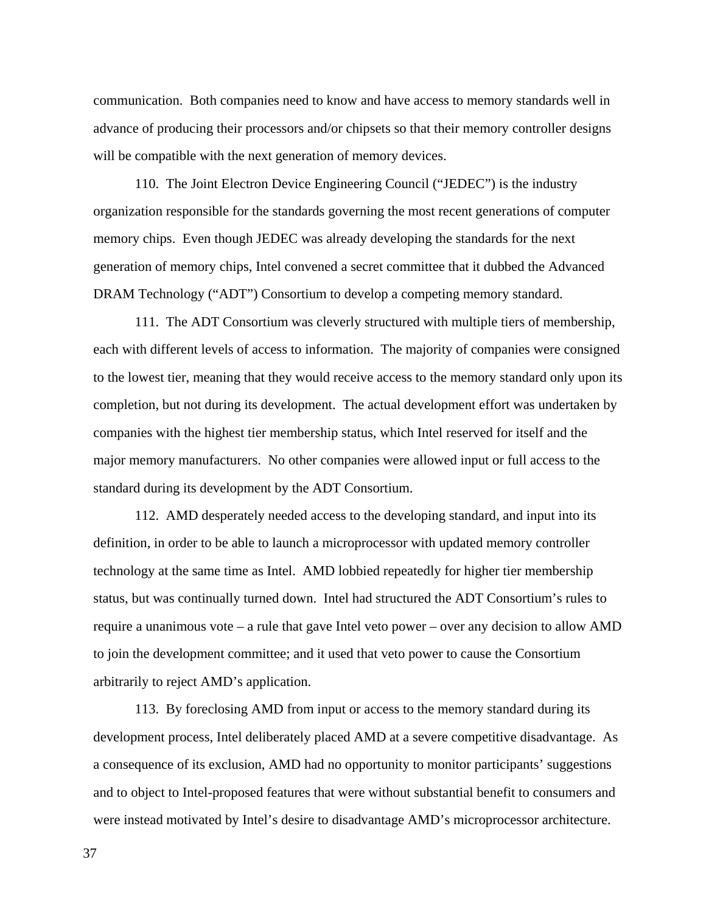communication. Both companies need to know and have access to memory standards well in advance of producing their processors and/or chipsets so that their memory controller designs will be compatible with the next generation of memory devices.

110. The Joint Electron Device Engineering Council ("JEDEC") is the industry organization responsible for the standards governing the most recent generations of computer memory chips. Even though JEDEC was already developing the standards for the next generation of memory chips, Intel convened a secret committee that it dubbed the Advanced DRAM Technology ("ADT") Consortium to develop a competing memory standard.

111. The ADT Consortium was cleverly structured with multiple tiers of membership, each with different levels of access to information. The majority of companies were consigned to the lowest tier, meaning that they would receive access to the memory standard only upon its completion, but not during its development. The actual development effort was undertaken by companies with the highest tier membership status, which Intel reserved for itself and the major memory manufacturers. No other companies were allowed input or full access to the standard during its development by the ADT Consortium.

112. AMD desperately needed access to the developing standard, and input into its definition, in order to be able to launch a microprocessor with updated memory controller technology at the same time as Intel. AMD lobbied repeatedly for higher tier membership status, but was continually turned down. Intel had structured the ADT Consortium's rules to require a unanimous vote – a rule that gave Intel veto power – over any decision to allow AMD to join the development committee; and it used that veto power to cause the Consortium arbitrarily to reject AMD's application.

113. By foreclosing AMD from input or access to the memory standard during its development process, Intel deliberately placed AMD at a severe competitive disadvantage. As a consequence of its exclusion, AMD had no opportunity to monitor participants' suggestions and to object to Intel-proposed features that were without substantial benefit to consumers and were instead motivated by Intel's desire to disadvantage AMD's microprocessor architecture.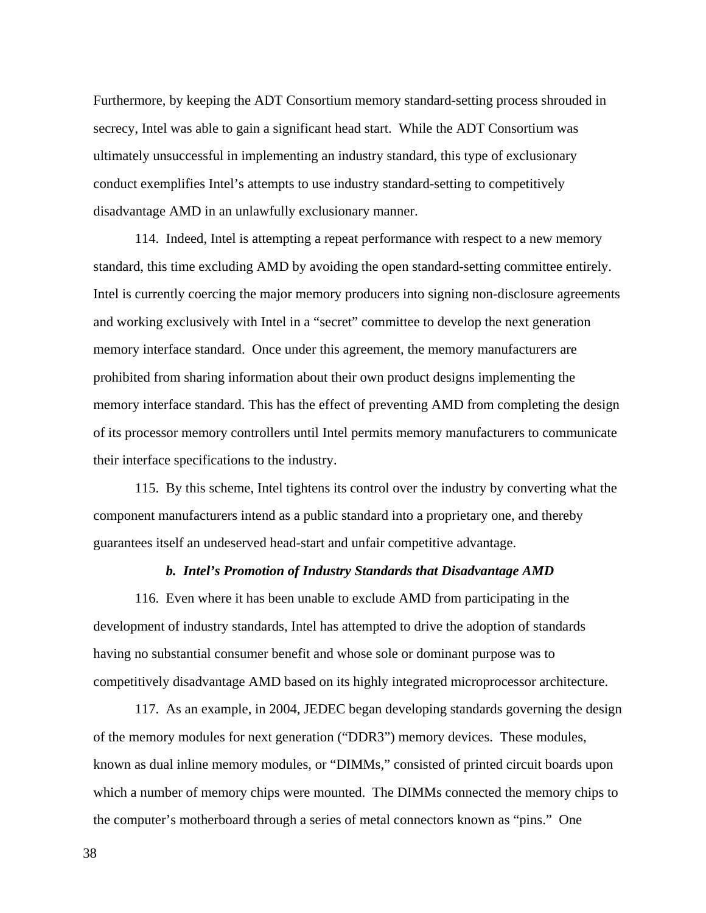Furthermore, by keeping the ADT Consortium memory standard-setting process shrouded in secrecy, Intel was able to gain a significant head start. While the ADT Consortium was ultimately unsuccessful in implementing an industry standard, this type of exclusionary conduct exemplifies Intel's attempts to use industry standard-setting to competitively disadvantage AMD in an unlawfully exclusionary manner.

114. Indeed, Intel is attempting a repeat performance with respect to a new memory standard, this time excluding AMD by avoiding the open standard-setting committee entirely. Intel is currently coercing the major memory producers into signing non-disclosure agreements and working exclusively with Intel in a "secret" committee to develop the next generation memory interface standard. Once under this agreement, the memory manufacturers are prohibited from sharing information about their own product designs implementing the memory interface standard. This has the effect of preventing AMD from completing the design of its processor memory controllers until Intel permits memory manufacturers to communicate their interface specifications to the industry.

115. By this scheme, Intel tightens its control over the industry by converting what the component manufacturers intend as a public standard into a proprietary one, and thereby guarantees itself an undeserved head-start and unfair competitive advantage.

## *b. Intel's Promotion of Industry Standards that Disadvantage AMD*

116. Even where it has been unable to exclude AMD from participating in the development of industry standards, Intel has attempted to drive the adoption of standards having no substantial consumer benefit and whose sole or dominant purpose was to competitively disadvantage AMD based on its highly integrated microprocessor architecture.

117. As an example, in 2004, JEDEC began developing standards governing the design of the memory modules for next generation ("DDR3") memory devices. These modules, known as dual inline memory modules, or "DIMMs," consisted of printed circuit boards upon which a number of memory chips were mounted. The DIMMs connected the memory chips to the computer's motherboard through a series of metal connectors known as "pins." One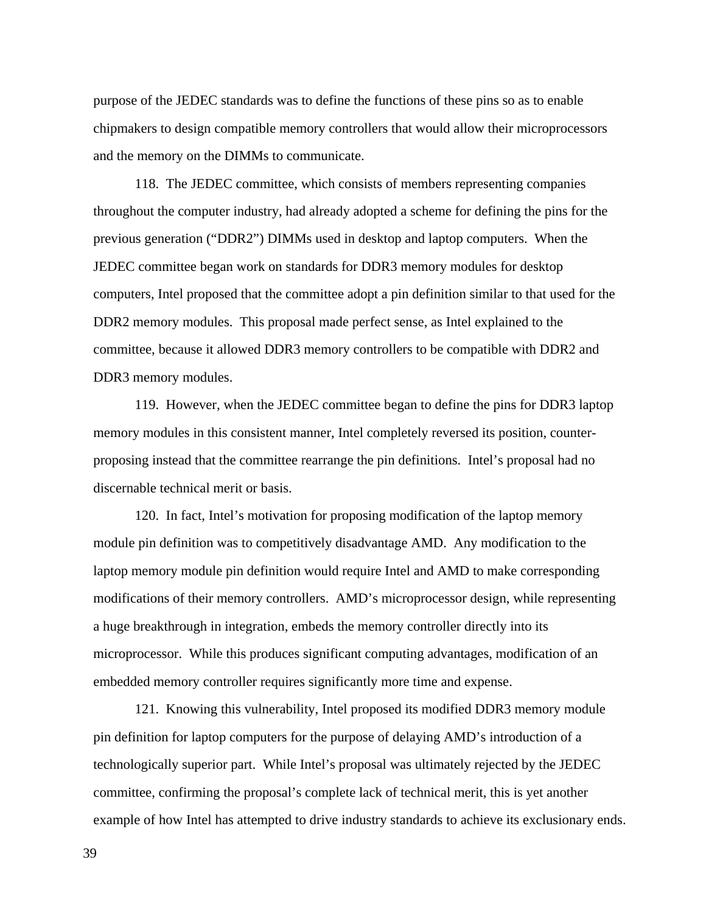purpose of the JEDEC standards was to define the functions of these pins so as to enable chipmakers to design compatible memory controllers that would allow their microprocessors and the memory on the DIMMs to communicate.

118. The JEDEC committee, which consists of members representing companies throughout the computer industry, had already adopted a scheme for defining the pins for the previous generation ("DDR2") DIMMs used in desktop and laptop computers. When the JEDEC committee began work on standards for DDR3 memory modules for desktop computers, Intel proposed that the committee adopt a pin definition similar to that used for the DDR2 memory modules. This proposal made perfect sense, as Intel explained to the committee, because it allowed DDR3 memory controllers to be compatible with DDR2 and DDR3 memory modules.

119. However, when the JEDEC committee began to define the pins for DDR3 laptop memory modules in this consistent manner, Intel completely reversed its position, counterproposing instead that the committee rearrange the pin definitions. Intel's proposal had no discernable technical merit or basis.

120. In fact, Intel's motivation for proposing modification of the laptop memory module pin definition was to competitively disadvantage AMD. Any modification to the laptop memory module pin definition would require Intel and AMD to make corresponding modifications of their memory controllers. AMD's microprocessor design, while representing a huge breakthrough in integration, embeds the memory controller directly into its microprocessor. While this produces significant computing advantages, modification of an embedded memory controller requires significantly more time and expense.

121. Knowing this vulnerability, Intel proposed its modified DDR3 memory module pin definition for laptop computers for the purpose of delaying AMD's introduction of a technologically superior part. While Intel's proposal was ultimately rejected by the JEDEC committee, confirming the proposal's complete lack of technical merit, this is yet another example of how Intel has attempted to drive industry standards to achieve its exclusionary ends.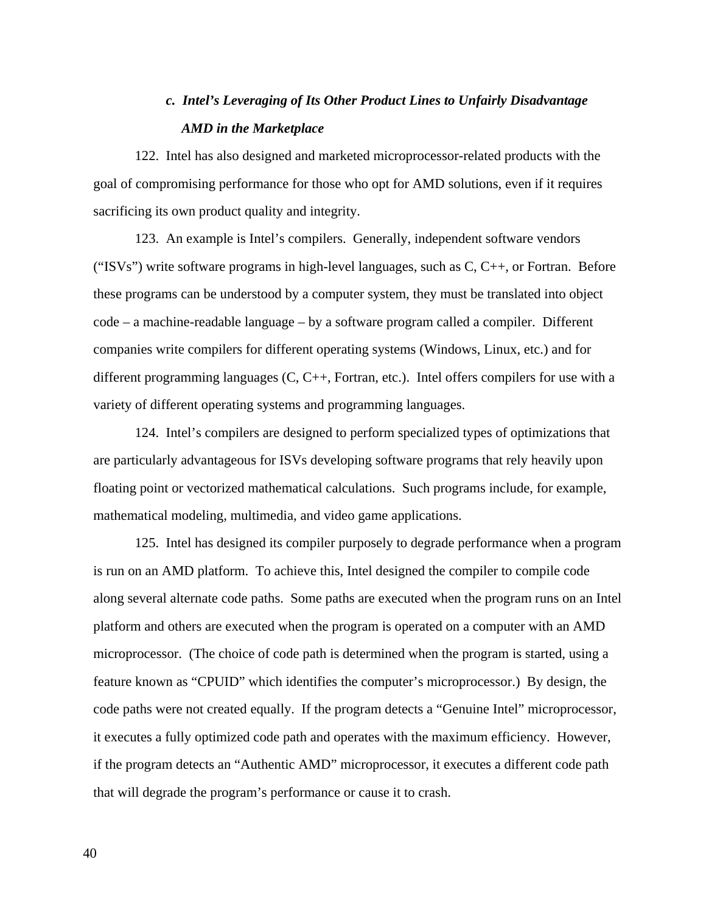# *c. Intel's Leveraging of Its Other Product Lines to Unfairly Disadvantage AMD in the Marketplace*

122. Intel has also designed and marketed microprocessor-related products with the goal of compromising performance for those who opt for AMD solutions, even if it requires sacrificing its own product quality and integrity.

123. An example is Intel's compilers. Generally, independent software vendors ("ISVs") write software programs in high-level languages, such as C, C++, or Fortran. Before these programs can be understood by a computer system, they must be translated into object code – a machine-readable language – by a software program called a compiler. Different companies write compilers for different operating systems (Windows, Linux, etc.) and for different programming languages (C, C++, Fortran, etc.). Intel offers compilers for use with a variety of different operating systems and programming languages.

124. Intel's compilers are designed to perform specialized types of optimizations that are particularly advantageous for ISVs developing software programs that rely heavily upon floating point or vectorized mathematical calculations. Such programs include, for example, mathematical modeling, multimedia, and video game applications.

125. Intel has designed its compiler purposely to degrade performance when a program is run on an AMD platform. To achieve this, Intel designed the compiler to compile code along several alternate code paths. Some paths are executed when the program runs on an Intel platform and others are executed when the program is operated on a computer with an AMD microprocessor. (The choice of code path is determined when the program is started, using a feature known as "CPUID" which identifies the computer's microprocessor.) By design, the code paths were not created equally. If the program detects a "Genuine Intel" microprocessor, it executes a fully optimized code path and operates with the maximum efficiency. However, if the program detects an "Authentic AMD" microprocessor, it executes a different code path that will degrade the program's performance or cause it to crash.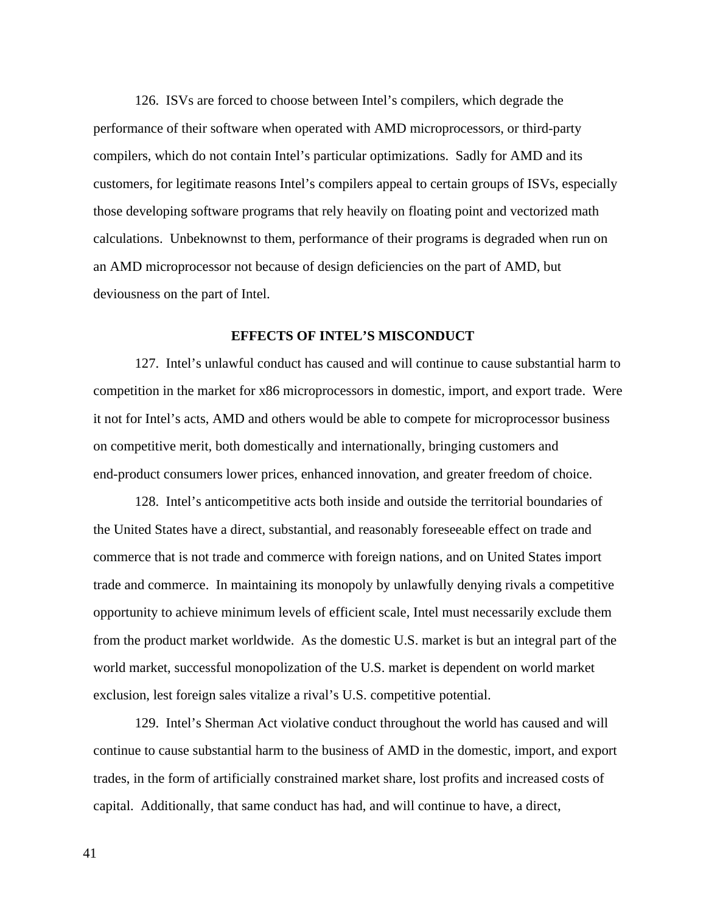126. ISVs are forced to choose between Intel's compilers, which degrade the performance of their software when operated with AMD microprocessors, or third-party compilers, which do not contain Intel's particular optimizations. Sadly for AMD and its customers, for legitimate reasons Intel's compilers appeal to certain groups of ISVs, especially those developing software programs that rely heavily on floating point and vectorized math calculations. Unbeknownst to them, performance of their programs is degraded when run on an AMD microprocessor not because of design deficiencies on the part of AMD, but deviousness on the part of Intel.

## **EFFECTS OF INTEL'S MISCONDUCT**

127. Intel's unlawful conduct has caused and will continue to cause substantial harm to competition in the market for x86 microprocessors in domestic, import, and export trade. Were it not for Intel's acts, AMD and others would be able to compete for microprocessor business on competitive merit, both domestically and internationally, bringing customers and end-product consumers lower prices, enhanced innovation, and greater freedom of choice.

128. Intel's anticompetitive acts both inside and outside the territorial boundaries of the United States have a direct, substantial, and reasonably foreseeable effect on trade and commerce that is not trade and commerce with foreign nations, and on United States import trade and commerce. In maintaining its monopoly by unlawfully denying rivals a competitive opportunity to achieve minimum levels of efficient scale, Intel must necessarily exclude them from the product market worldwide. As the domestic U.S. market is but an integral part of the world market, successful monopolization of the U.S. market is dependent on world market exclusion, lest foreign sales vitalize a rival's U.S. competitive potential.

129. Intel's Sherman Act violative conduct throughout the world has caused and will continue to cause substantial harm to the business of AMD in the domestic, import, and export trades, in the form of artificially constrained market share, lost profits and increased costs of capital. Additionally, that same conduct has had, and will continue to have, a direct,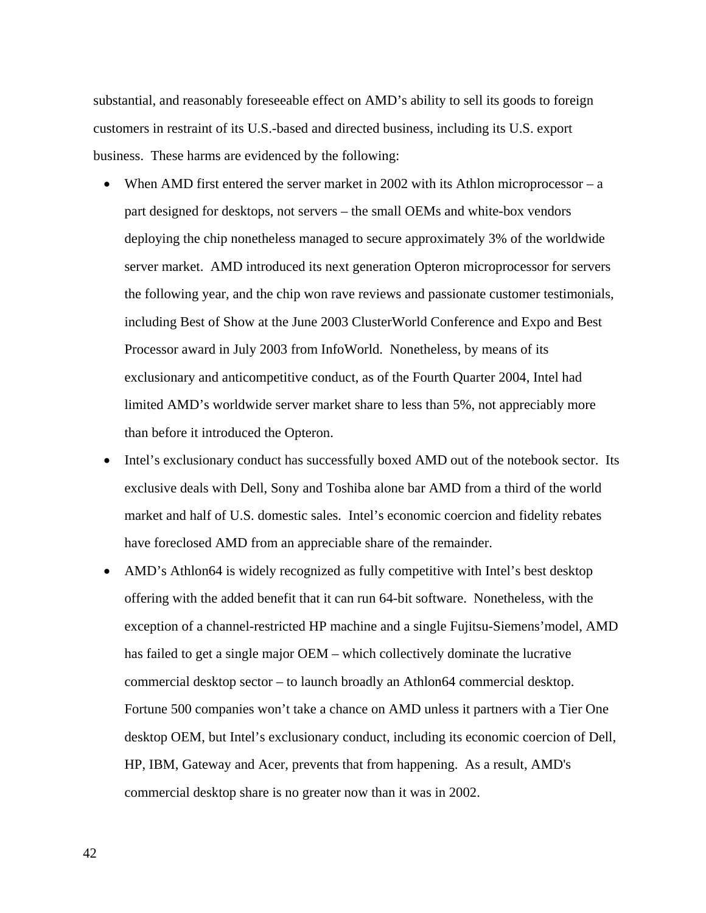substantial, and reasonably foreseeable effect on AMD's ability to sell its goods to foreign customers in restraint of its U.S.-based and directed business, including its U.S. export business. These harms are evidenced by the following:

- When AMD first entered the server market in 2002 with its Athlon microprocessor a part designed for desktops, not servers – the small OEMs and white-box vendors deploying the chip nonetheless managed to secure approximately 3% of the worldwide server market. AMD introduced its next generation Opteron microprocessor for servers the following year, and the chip won rave reviews and passionate customer testimonials, including Best of Show at the June 2003 ClusterWorld Conference and Expo and Best Processor award in July 2003 from InfoWorld. Nonetheless, by means of its exclusionary and anticompetitive conduct, as of the Fourth Quarter 2004, Intel had limited AMD's worldwide server market share to less than 5%, not appreciably more than before it introduced the Opteron.
- Intel's exclusionary conduct has successfully boxed AMD out of the notebook sector. Its exclusive deals with Dell, Sony and Toshiba alone bar AMD from a third of the world market and half of U.S. domestic sales. Intel's economic coercion and fidelity rebates have foreclosed AMD from an appreciable share of the remainder.
- AMD's Athlon64 is widely recognized as fully competitive with Intel's best desktop offering with the added benefit that it can run 64-bit software. Nonetheless, with the exception of a channel-restricted HP machine and a single Fujitsu-Siemens'model, AMD has failed to get a single major OEM – which collectively dominate the lucrative commercial desktop sector – to launch broadly an Athlon64 commercial desktop. Fortune 500 companies won't take a chance on AMD unless it partners with a Tier One desktop OEM, but Intel's exclusionary conduct, including its economic coercion of Dell, HP, IBM, Gateway and Acer, prevents that from happening. As a result, AMD's commercial desktop share is no greater now than it was in 2002.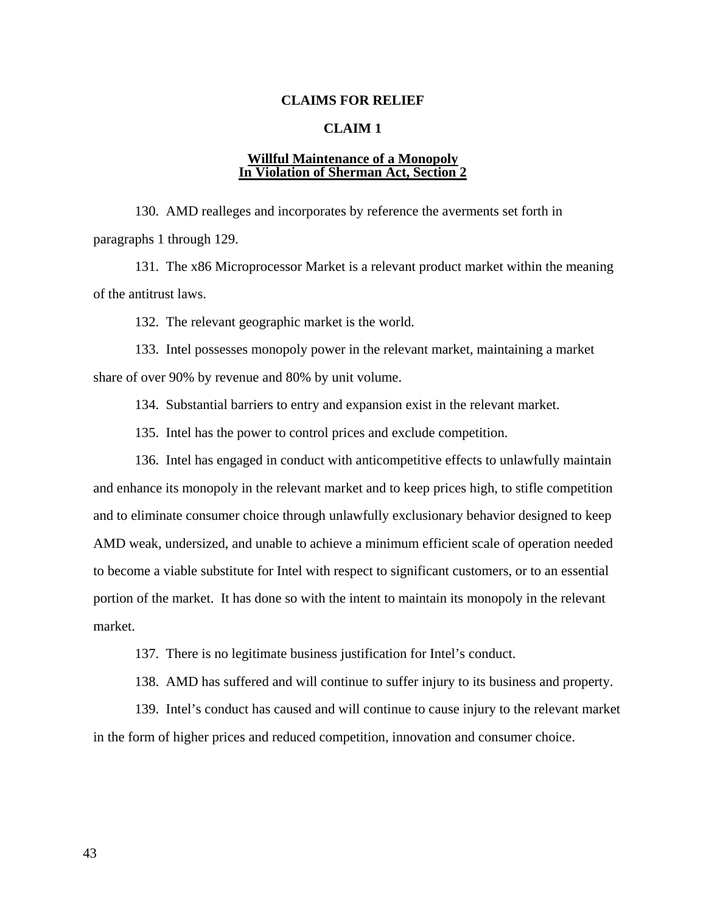## **CLAIMS FOR RELIEF**

#### **CLAIM 1**

## **Willful Maintenance of a Monopoly In Violation of Sherman Act, Section 2**

130. AMD realleges and incorporates by reference the averments set forth in paragraphs 1 through 129.

131. The x86 Microprocessor Market is a relevant product market within the meaning of the antitrust laws.

132. The relevant geographic market is the world.

133. Intel possesses monopoly power in the relevant market, maintaining a market share of over 90% by revenue and 80% by unit volume.

134. Substantial barriers to entry and expansion exist in the relevant market.

135. Intel has the power to control prices and exclude competition.

136. Intel has engaged in conduct with anticompetitive effects to unlawfully maintain and enhance its monopoly in the relevant market and to keep prices high, to stifle competition and to eliminate consumer choice through unlawfully exclusionary behavior designed to keep AMD weak, undersized, and unable to achieve a minimum efficient scale of operation needed to become a viable substitute for Intel with respect to significant customers, or to an essential portion of the market. It has done so with the intent to maintain its monopoly in the relevant market.

137. There is no legitimate business justification for Intel's conduct.

138. AMD has suffered and will continue to suffer injury to its business and property.

139. Intel's conduct has caused and will continue to cause injury to the relevant market in the form of higher prices and reduced competition, innovation and consumer choice.

43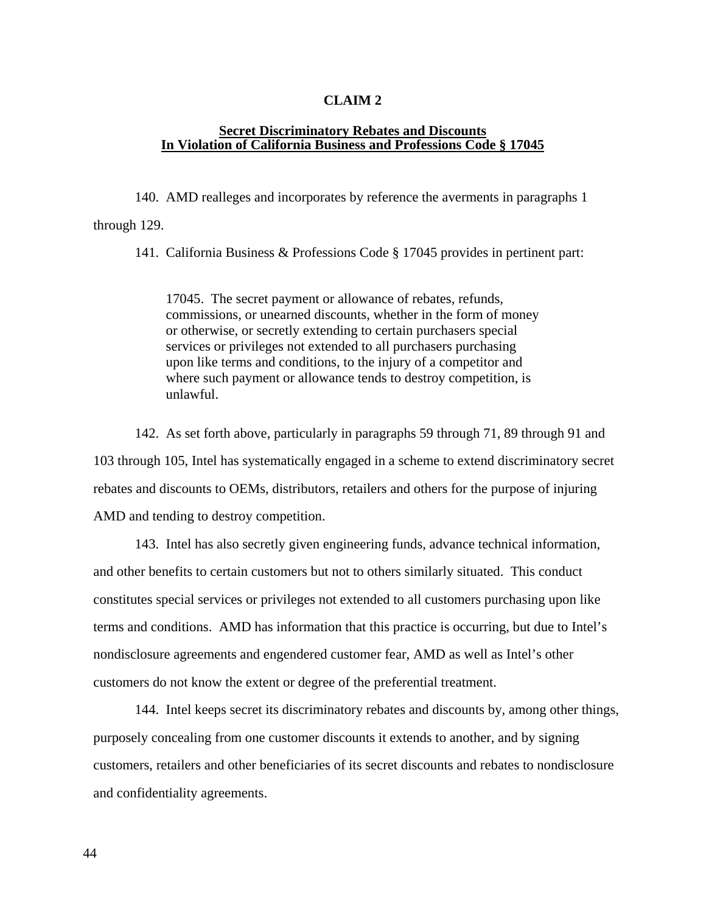## **CLAIM 2**

## **Secret Discriminatory Rebates and Discounts In Violation of California Business and Professions Code § 17045**

140. AMD realleges and incorporates by reference the averments in paragraphs 1 through 129.

141. California Business & Professions Code § 17045 provides in pertinent part:

17045. The secret payment or allowance of rebates, refunds, commissions, or unearned discounts, whether in the form of money or otherwise, or secretly extending to certain purchasers special services or privileges not extended to all purchasers purchasing upon like terms and conditions, to the injury of a competitor and where such payment or allowance tends to destroy competition, is unlawful.

142. As set forth above, particularly in paragraphs 59 through 71, 89 through 91 and 103 through 105, Intel has systematically engaged in a scheme to extend discriminatory secret rebates and discounts to OEMs, distributors, retailers and others for the purpose of injuring AMD and tending to destroy competition.

143. Intel has also secretly given engineering funds, advance technical information, and other benefits to certain customers but not to others similarly situated. This conduct constitutes special services or privileges not extended to all customers purchasing upon like terms and conditions. AMD has information that this practice is occurring, but due to Intel's nondisclosure agreements and engendered customer fear, AMD as well as Intel's other customers do not know the extent or degree of the preferential treatment.

144. Intel keeps secret its discriminatory rebates and discounts by, among other things, purposely concealing from one customer discounts it extends to another, and by signing customers, retailers and other beneficiaries of its secret discounts and rebates to nondisclosure and confidentiality agreements.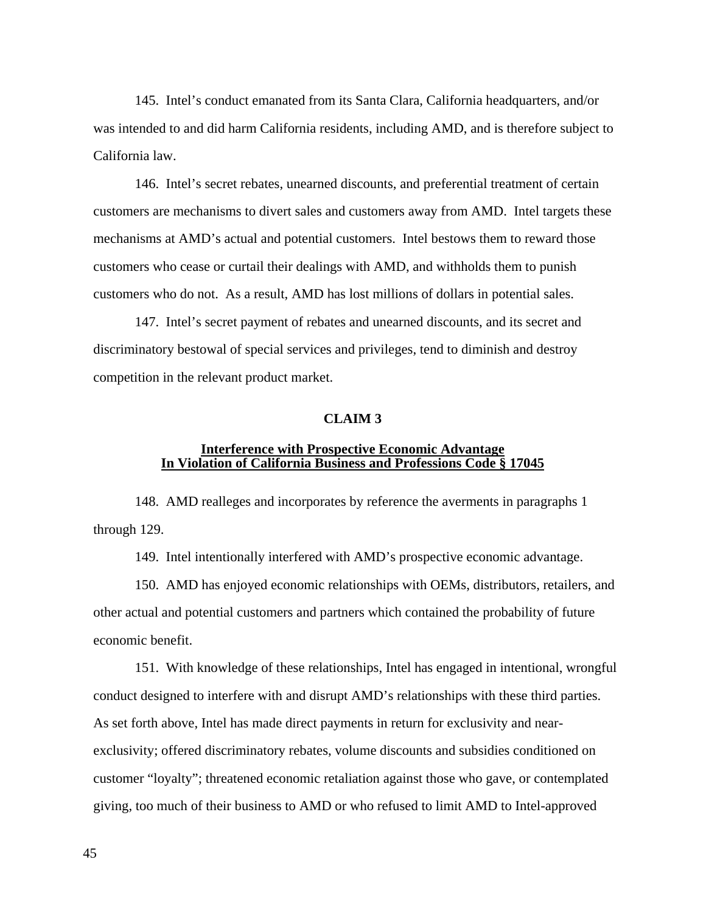145. Intel's conduct emanated from its Santa Clara, California headquarters, and/or was intended to and did harm California residents, including AMD, and is therefore subject to California law.

146. Intel's secret rebates, unearned discounts, and preferential treatment of certain customers are mechanisms to divert sales and customers away from AMD. Intel targets these mechanisms at AMD's actual and potential customers. Intel bestows them to reward those customers who cease or curtail their dealings with AMD, and withholds them to punish customers who do not. As a result, AMD has lost millions of dollars in potential sales.

147. Intel's secret payment of rebates and unearned discounts, and its secret and discriminatory bestowal of special services and privileges, tend to diminish and destroy competition in the relevant product market.

## **CLAIM 3**

# **Interference with Prospective Economic Advantage In Violation of California Business and Professions Code § 17045**

148. AMD realleges and incorporates by reference the averments in paragraphs 1 through 129.

149. Intel intentionally interfered with AMD's prospective economic advantage.

150. AMD has enjoyed economic relationships with OEMs, distributors, retailers, and other actual and potential customers and partners which contained the probability of future economic benefit.

151. With knowledge of these relationships, Intel has engaged in intentional, wrongful conduct designed to interfere with and disrupt AMD's relationships with these third parties. As set forth above, Intel has made direct payments in return for exclusivity and nearexclusivity; offered discriminatory rebates, volume discounts and subsidies conditioned on customer "loyalty"; threatened economic retaliation against those who gave, or contemplated giving, too much of their business to AMD or who refused to limit AMD to Intel-approved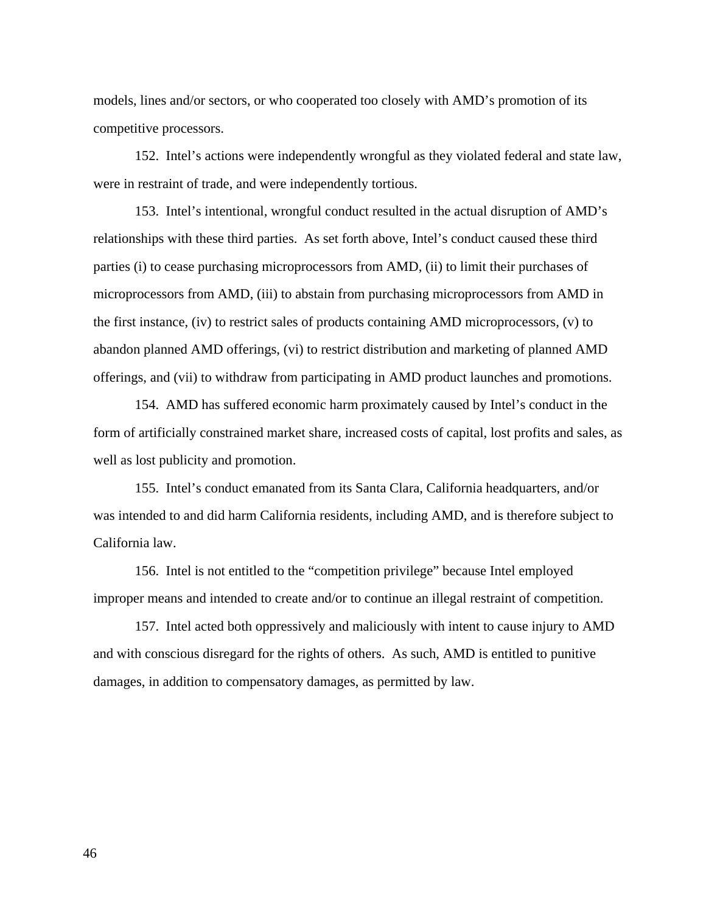models, lines and/or sectors, or who cooperated too closely with AMD's promotion of its competitive processors.

152. Intel's actions were independently wrongful as they violated federal and state law, were in restraint of trade, and were independently tortious.

153. Intel's intentional, wrongful conduct resulted in the actual disruption of AMD's relationships with these third parties. As set forth above, Intel's conduct caused these third parties (i) to cease purchasing microprocessors from AMD, (ii) to limit their purchases of microprocessors from AMD, (iii) to abstain from purchasing microprocessors from AMD in the first instance, (iv) to restrict sales of products containing AMD microprocessors, (v) to abandon planned AMD offerings, (vi) to restrict distribution and marketing of planned AMD offerings, and (vii) to withdraw from participating in AMD product launches and promotions.

154. AMD has suffered economic harm proximately caused by Intel's conduct in the form of artificially constrained market share, increased costs of capital, lost profits and sales, as well as lost publicity and promotion.

155. Intel's conduct emanated from its Santa Clara, California headquarters, and/or was intended to and did harm California residents, including AMD, and is therefore subject to California law.

156. Intel is not entitled to the "competition privilege" because Intel employed improper means and intended to create and/or to continue an illegal restraint of competition.

157. Intel acted both oppressively and maliciously with intent to cause injury to AMD and with conscious disregard for the rights of others. As such, AMD is entitled to punitive damages, in addition to compensatory damages, as permitted by law.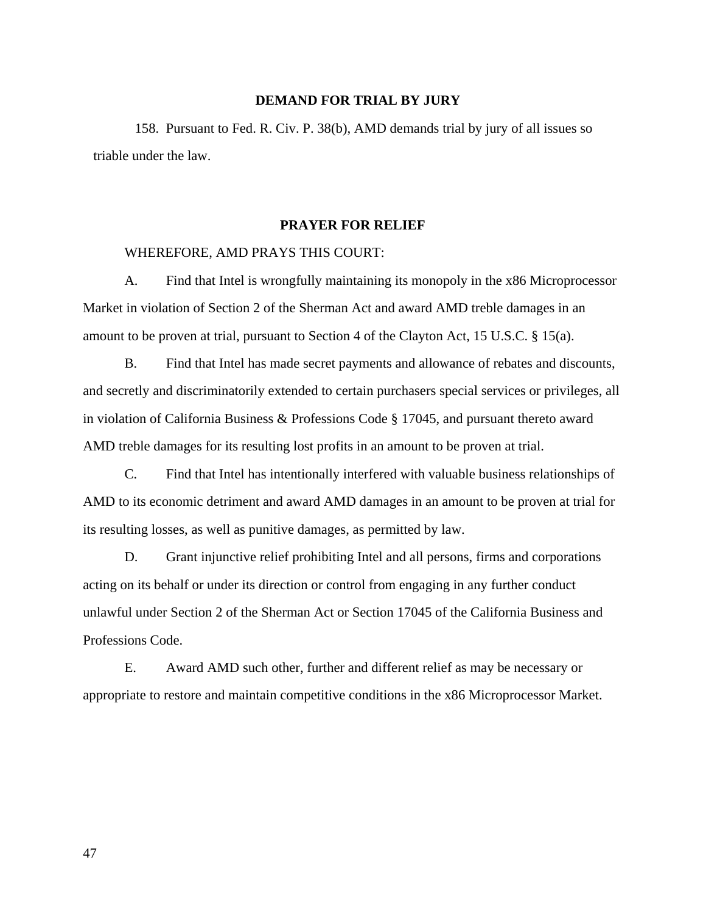#### **DEMAND FOR TRIAL BY JURY**

158. Pursuant to Fed. R. Civ. P. 38(b), AMD demands trial by jury of all issues so triable under the law.

#### **PRAYER FOR RELIEF**

#### WHEREFORE, AMD PRAYS THIS COURT:

A. Find that Intel is wrongfully maintaining its monopoly in the x86 Microprocessor Market in violation of Section 2 of the Sherman Act and award AMD treble damages in an amount to be proven at trial, pursuant to Section 4 of the Clayton Act, 15 U.S.C. § 15(a).

B. Find that Intel has made secret payments and allowance of rebates and discounts, and secretly and discriminatorily extended to certain purchasers special services or privileges, all in violation of California Business & Professions Code § 17045, and pursuant thereto award AMD treble damages for its resulting lost profits in an amount to be proven at trial.

C. Find that Intel has intentionally interfered with valuable business relationships of AMD to its economic detriment and award AMD damages in an amount to be proven at trial for its resulting losses, as well as punitive damages, as permitted by law.

D. Grant injunctive relief prohibiting Intel and all persons, firms and corporations acting on its behalf or under its direction or control from engaging in any further conduct unlawful under Section 2 of the Sherman Act or Section 17045 of the California Business and Professions Code.

E. Award AMD such other, further and different relief as may be necessary or appropriate to restore and maintain competitive conditions in the x86 Microprocessor Market.

47